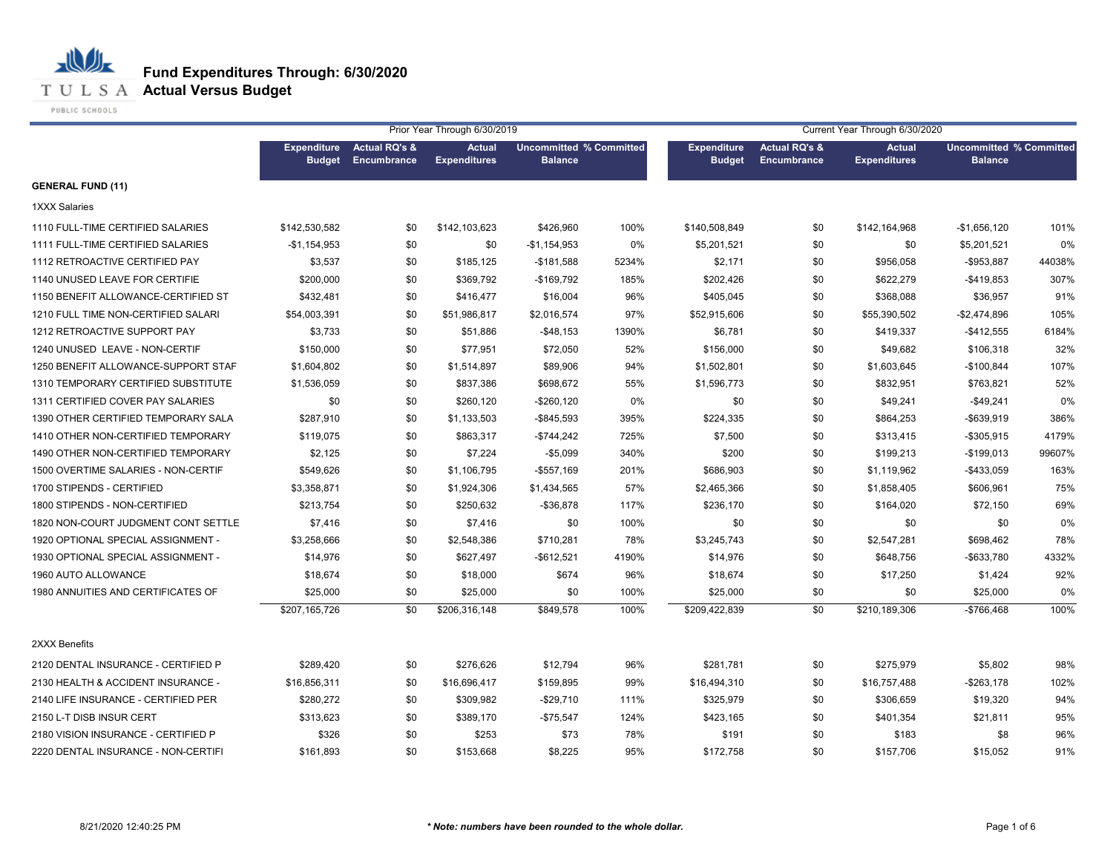**T U L S A Actual Versus Budget** 

PUBLIC SCHOOLS

|                                     |                                     |                                         | Prior Year Through 6/30/2019         |                                                  |       | Current Year Through 6/30/2020      |                                         |                                      |                                                  |        |  |
|-------------------------------------|-------------------------------------|-----------------------------------------|--------------------------------------|--------------------------------------------------|-------|-------------------------------------|-----------------------------------------|--------------------------------------|--------------------------------------------------|--------|--|
|                                     | <b>Expenditure</b><br><b>Budget</b> | <b>Actual RQ's &amp;</b><br>Encumbrance | <b>Actual</b><br><b>Expenditures</b> | <b>Uncommitted % Committed</b><br><b>Balance</b> |       | <b>Expenditure</b><br><b>Budget</b> | <b>Actual RQ's &amp;</b><br>Encumbrance | <b>Actual</b><br><b>Expenditures</b> | <b>Uncommitted % Committed</b><br><b>Balance</b> |        |  |
| <b>GENERAL FUND (11)</b>            |                                     |                                         |                                      |                                                  |       |                                     |                                         |                                      |                                                  |        |  |
| <b>1XXX Salaries</b>                |                                     |                                         |                                      |                                                  |       |                                     |                                         |                                      |                                                  |        |  |
| 1110 FULL-TIME CERTIFIED SALARIES   | \$142,530,582                       | \$0                                     | \$142,103,623                        | \$426,960                                        | 100%  | \$140,508,849                       | \$0                                     | \$142,164,968                        | $-$1,656,120$                                    | 101%   |  |
| 1111 FULL-TIME CERTIFIED SALARIES   | $-$1,154,953$                       | \$0                                     | \$0                                  | $-$1,154,953$                                    | 0%    | \$5,201,521                         | \$0                                     | \$0                                  | \$5,201,521                                      | 0%     |  |
| 1112 RETROACTIVE CERTIFIED PAY      | \$3,537                             | \$0                                     | \$185,125                            | $-$181,588$                                      | 5234% | \$2,171                             | \$0                                     | \$956,058                            | -\$953,887                                       | 44038% |  |
| 1140 UNUSED LEAVE FOR CERTIFIE      | \$200,000                           | \$0                                     | \$369,792                            | -\$169,792                                       | 185%  | \$202,426                           | \$0                                     | \$622,279                            | $-$419.853$                                      | 307%   |  |
| 1150 BENEFIT ALLOWANCE-CERTIFIED ST | \$432,481                           | \$0                                     | \$416,477                            | \$16,004                                         | 96%   | \$405,045                           | \$0                                     | \$368,088                            | \$36,957                                         | 91%    |  |
| 1210 FULL TIME NON-CERTIFIED SALARI | \$54,003,391                        | \$0                                     | \$51,986,817                         | \$2,016,574                                      | 97%   | \$52,915,606                        | \$0                                     | \$55,390,502                         | $-$2,474,896$                                    | 105%   |  |
| 1212 RETROACTIVE SUPPORT PAY        | \$3,733                             | \$0                                     | \$51,886                             | $-$48,153$                                       | 1390% | \$6,781                             | \$0                                     | \$419,337                            | $-$412,555$                                      | 6184%  |  |
| 1240 UNUSED LEAVE - NON-CERTIF      | \$150,000                           | \$0                                     | \$77,951                             | \$72,050                                         | 52%   | \$156,000                           | \$0                                     | \$49,682                             | \$106,318                                        | 32%    |  |
| 1250 BENEFIT ALLOWANCE-SUPPORT STAF | \$1,604,802                         | \$0                                     | \$1,514,897                          | \$89,906                                         | 94%   | \$1,502,801                         | \$0                                     | \$1,603,645                          | $-$100,844$                                      | 107%   |  |
| 1310 TEMPORARY CERTIFIED SUBSTITUTE | \$1,536,059                         | \$0                                     | \$837,386                            | \$698,672                                        | 55%   | \$1,596,773                         | \$0                                     | \$832,951                            | \$763,821                                        | 52%    |  |
| 1311 CERTIFIED COVER PAY SALARIES   | \$0                                 | \$0                                     | \$260,120                            | -\$260,120                                       | 0%    | \$0                                 | \$0                                     | \$49,241                             | $-$49,241$                                       | 0%     |  |
| 1390 OTHER CERTIFIED TEMPORARY SALA | \$287,910                           | \$0                                     | \$1,133,503                          | -\$845,593                                       | 395%  | \$224,335                           | \$0                                     | \$864,253                            | $-$639,919$                                      | 386%   |  |
| 1410 OTHER NON-CERTIFIED TEMPORARY  | \$119,075                           | \$0                                     | \$863,317                            | -\$744,242                                       | 725%  | \$7,500                             | \$0                                     | \$313,415                            | -\$305,915                                       | 4179%  |  |
| 1490 OTHER NON-CERTIFIED TEMPORARY  | \$2,125                             | \$0                                     | \$7,224                              | $-$5,099$                                        | 340%  | \$200                               | \$0                                     | \$199,213                            | $-$199,013$                                      | 99607% |  |
| 1500 OVERTIME SALARIES - NON-CERTIF | \$549,626                           | \$0                                     | \$1,106,795                          | $-$557,169$                                      | 201%  | \$686,903                           | \$0                                     | \$1,119,962                          | -\$433,059                                       | 163%   |  |
| 1700 STIPENDS - CERTIFIED           | \$3,358,871                         | \$0                                     | \$1,924,306                          | \$1,434,565                                      | 57%   | \$2,465,366                         | \$0                                     | \$1,858,405                          | \$606,961                                        | 75%    |  |
| 1800 STIPENDS - NON-CERTIFIED       | \$213,754                           | \$0                                     | \$250,632                            | $-$36,878$                                       | 117%  | \$236,170                           | \$0                                     | \$164,020                            | \$72,150                                         | 69%    |  |
| 1820 NON-COURT JUDGMENT CONT SETTLE | \$7,416                             | \$0                                     | \$7,416                              | \$0                                              | 100%  | \$0                                 | \$0                                     | \$0                                  | \$0                                              | 0%     |  |
| 1920 OPTIONAL SPECIAL ASSIGNMENT -  | \$3,258,666                         | \$0                                     | \$2,548,386                          | \$710,281                                        | 78%   | \$3,245,743                         | \$0                                     | \$2,547,281                          | \$698,462                                        | 78%    |  |
| 1930 OPTIONAL SPECIAL ASSIGNMENT -  | \$14,976                            | \$0                                     | \$627,497                            | -\$612,521                                       | 4190% | \$14,976                            | \$0                                     | \$648,756                            | -\$633,780                                       | 4332%  |  |
| 1960 AUTO ALLOWANCE                 | \$18,674                            | \$0                                     | \$18,000                             | \$674                                            | 96%   | \$18,674                            | \$0                                     | \$17,250                             | \$1,424                                          | 92%    |  |
| 1980 ANNUITIES AND CERTIFICATES OF  | \$25,000                            | \$0                                     | \$25,000                             | \$0                                              | 100%  | \$25,000                            | \$0                                     | \$0                                  | \$25,000                                         | 0%     |  |
|                                     | \$207,165,726                       | \$0                                     | \$206,316,148                        | \$849,578                                        | 100%  | \$209,422,839                       | \$0                                     | \$210,189,306                        | -\$766,468                                       | 100%   |  |
| 2XXX Benefits                       |                                     |                                         |                                      |                                                  |       |                                     |                                         |                                      |                                                  |        |  |
| 2120 DENTAL INSURANCE - CERTIFIED P | \$289.420                           | \$0                                     | \$276,626                            | \$12,794                                         | 96%   | \$281,781                           | \$0                                     | \$275,979                            | \$5,802                                          | 98%    |  |
| 2130 HEALTH & ACCIDENT INSURANCE -  | \$16,856,311                        | \$0                                     | \$16,696,417                         | \$159,895                                        | 99%   | \$16,494,310                        | \$0                                     | \$16,757,488                         | $-$ \$263,178                                    | 102%   |  |
| 2140 LIFE INSURANCE - CERTIFIED PER | \$280,272                           | \$0                                     | \$309,982                            | $-$29,710$                                       | 111%  | \$325,979                           | \$0                                     | \$306,659                            | \$19,320                                         | 94%    |  |
| 2150 L-T DISB INSUR CERT            | \$313,623                           | \$0                                     | \$389,170                            | $-$75,547$                                       | 124%  | \$423,165                           | \$0                                     | \$401,354                            | \$21,811                                         | 95%    |  |
| 2180 VISION INSURANCE - CERTIFIED P | \$326                               | \$0                                     | \$253                                | \$73                                             | 78%   | \$191                               | \$0                                     | \$183                                | \$8                                              | 96%    |  |
| 2220 DENTAL INSURANCE - NON-CERTIFI | \$161,893                           | \$0                                     | \$153,668                            | \$8,225                                          | 95%   | \$172,758                           | \$0                                     | \$157,706                            | \$15,052                                         | 91%    |  |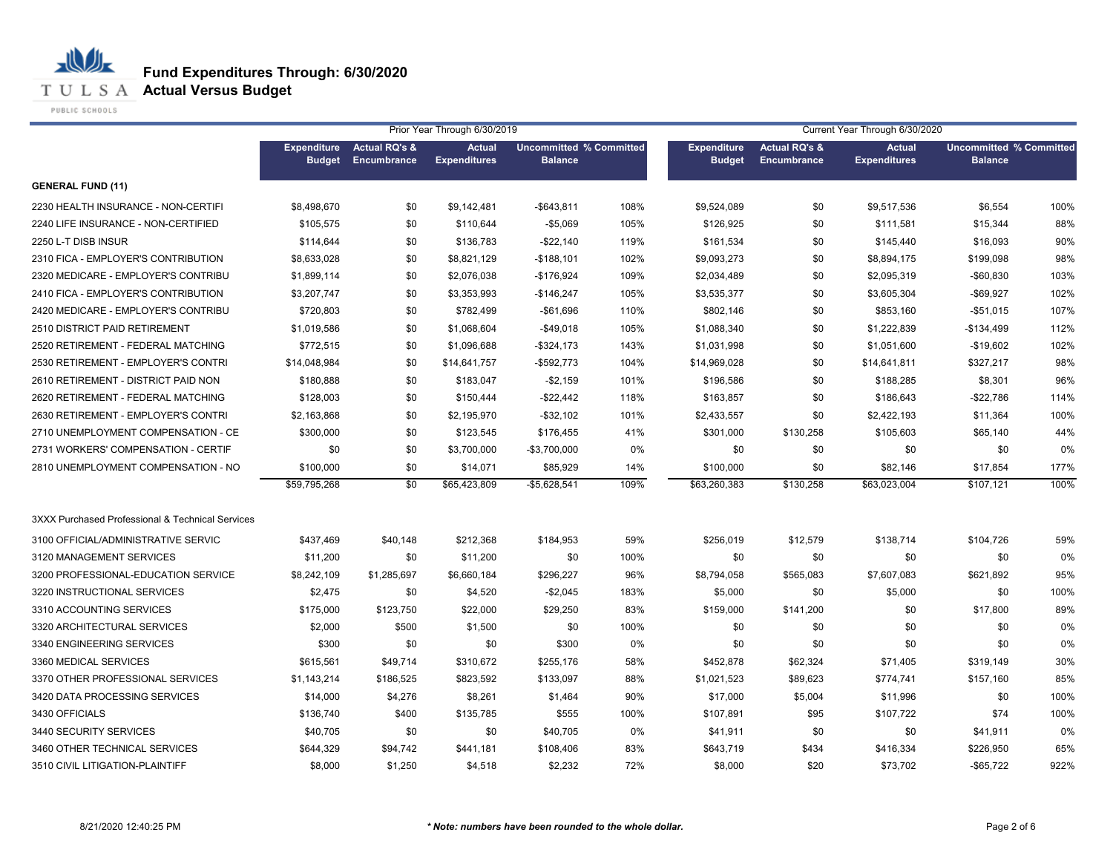**T U L S A Actual Versus Budget** 

PUBLIC SCHOOLS

|                                                  | Prior Year Through 6/30/2019<br>Current Year Through 6/30/2020<br><b>Uncommitted % Committed</b> |                                         |                                      |                |      |                                     |                                                |                                      |                                                  |      |
|--------------------------------------------------|--------------------------------------------------------------------------------------------------|-----------------------------------------|--------------------------------------|----------------|------|-------------------------------------|------------------------------------------------|--------------------------------------|--------------------------------------------------|------|
|                                                  | <b>Expenditure</b><br><b>Budget</b>                                                              | <b>Actual RQ's &amp;</b><br>Encumbrance | <b>Actual</b><br><b>Expenditures</b> | <b>Balance</b> |      | <b>Expenditure</b><br><b>Budget</b> | <b>Actual RQ's &amp;</b><br><b>Encumbrance</b> | <b>Actual</b><br><b>Expenditures</b> | <b>Uncommitted % Committed</b><br><b>Balance</b> |      |
| <b>GENERAL FUND (11)</b>                         |                                                                                                  |                                         |                                      |                |      |                                     |                                                |                                      |                                                  |      |
| 2230 HEALTH INSURANCE - NON-CERTIFI              | \$8,498,670                                                                                      | \$0                                     | \$9,142,481                          | $-$643,811$    | 108% | \$9,524,089                         | \$0                                            | \$9,517,536                          | \$6,554                                          | 100% |
| 2240 LIFE INSURANCE - NON-CERTIFIED              | \$105,575                                                                                        | \$0                                     | \$110,644                            | $-$5,069$      | 105% | \$126,925                           | \$0                                            | \$111,581                            | \$15,344                                         | 88%  |
| 2250 L-T DISB INSUR                              | \$114,644                                                                                        | \$0                                     | \$136,783                            | $-$22,140$     | 119% | \$161,534                           | \$0                                            | \$145,440                            | \$16,093                                         | 90%  |
| 2310 FICA - EMPLOYER'S CONTRIBUTION              | \$8,633,028                                                                                      | \$0                                     | \$8,821,129                          | $-$188,101$    | 102% | \$9,093,273                         | \$0                                            | \$8,894,175                          | \$199,098                                        | 98%  |
| 2320 MEDICARE - EMPLOYER'S CONTRIBU              | \$1,899,114                                                                                      | \$0                                     | \$2,076,038                          | $-$176,924$    | 109% | \$2,034,489                         | \$0                                            | \$2,095,319                          | $-$60,830$                                       | 103% |
| 2410 FICA - EMPLOYER'S CONTRIBUTION              | \$3,207,747                                                                                      | \$0                                     | \$3,353,993                          | $-$146,247$    | 105% | \$3,535,377                         | \$0                                            | \$3,605,304                          | $-$ \$69,927                                     | 102% |
| 2420 MEDICARE - EMPLOYER'S CONTRIBU              | \$720,803                                                                                        | \$0                                     | \$782,499                            | $-$ \$61,696   | 110% | \$802,146                           | \$0                                            | \$853,160                            | $-$51,015$                                       | 107% |
| 2510 DISTRICT PAID RETIREMENT                    | \$1,019,586                                                                                      | \$0                                     | \$1,068,604                          | $-$ \$49,018   | 105% | \$1,088,340                         | \$0                                            | \$1,222,839                          | $-$134,499$                                      | 112% |
| 2520 RETIREMENT - FEDERAL MATCHING               | \$772,515                                                                                        | \$0                                     | \$1,096,688                          | -\$324,173     | 143% | \$1,031,998                         | \$0                                            | \$1,051,600                          | $-$19,602$                                       | 102% |
| 2530 RETIREMENT - EMPLOYER'S CONTRI              | \$14,048,984                                                                                     | \$0                                     | \$14,641,757                         | -\$592,773     | 104% | \$14,969,028                        | \$0                                            | \$14,641,811                         | \$327,217                                        | 98%  |
| 2610 RETIREMENT - DISTRICT PAID NON              | \$180,888                                                                                        | \$0                                     | \$183,047                            | $-$2,159$      | 101% | \$196,586                           | \$0                                            | \$188,285                            | \$8,301                                          | 96%  |
| 2620 RETIREMENT - FEDERAL MATCHING               | \$128,003                                                                                        | \$0                                     | \$150,444                            | $-$ \$22,442   | 118% | \$163,857                           | \$0                                            | \$186,643                            | $-$22,786$                                       | 114% |
| 2630 RETIREMENT - EMPLOYER'S CONTRI              | \$2,163,868                                                                                      | \$0                                     | \$2,195,970                          | $-$ \$32,102   | 101% | \$2,433,557                         | \$0                                            | \$2,422,193                          | \$11,364                                         | 100% |
| 2710 UNEMPLOYMENT COMPENSATION - CE              | \$300,000                                                                                        | \$0                                     | \$123,545                            | \$176,455      | 41%  | \$301,000                           | \$130,258                                      | \$105,603                            | \$65,140                                         | 44%  |
| 2731 WORKERS' COMPENSATION - CERTIF              | \$0                                                                                              | \$0                                     | \$3,700,000                          | $-$3,700,000$  | 0%   | \$0                                 | \$0                                            | \$0                                  | \$0                                              | 0%   |
| 2810 UNEMPLOYMENT COMPENSATION - NO              | \$100,000                                                                                        | \$0                                     | \$14,071                             | \$85,929       | 14%  | \$100,000                           | \$0                                            | \$82,146                             | \$17,854                                         | 177% |
|                                                  | \$59,795,268                                                                                     | $\overline{50}$                         | \$65,423,809                         | $-$5,628,541$  | 109% | \$63,260,383                        | \$130,258                                      | \$63,023,004                         | \$107,121                                        | 100% |
| 3XXX Purchased Professional & Technical Services |                                                                                                  |                                         |                                      |                |      |                                     |                                                |                                      |                                                  |      |
| 3100 OFFICIAL/ADMINISTRATIVE SERVIC              | \$437.469                                                                                        | \$40,148                                | \$212,368                            | \$184,953      | 59%  | \$256,019                           | \$12,579                                       | \$138,714                            | \$104,726                                        | 59%  |
| 3120 MANAGEMENT SERVICES                         | \$11,200                                                                                         | \$0                                     | \$11,200                             | \$0            | 100% | \$0                                 | \$0                                            | \$0                                  | \$0                                              | 0%   |
| 3200 PROFESSIONAL-EDUCATION SERVICE              | \$8,242,109                                                                                      | \$1,285,697                             | \$6,660,184                          | \$296,227      | 96%  | \$8,794,058                         | \$565,083                                      | \$7,607,083                          | \$621,892                                        | 95%  |
| 3220 INSTRUCTIONAL SERVICES                      | \$2,475                                                                                          | \$0                                     | \$4,520                              | $-$2,045$      | 183% | \$5,000                             | \$0                                            | \$5,000                              | \$0                                              | 100% |
| 3310 ACCOUNTING SERVICES                         | \$175,000                                                                                        | \$123,750                               | \$22,000                             | \$29,250       | 83%  | \$159,000                           | \$141,200                                      | \$0                                  | \$17,800                                         | 89%  |
| 3320 ARCHITECTURAL SERVICES                      | \$2,000                                                                                          | \$500                                   | \$1,500                              | \$0            | 100% | \$0                                 | \$0                                            | \$0                                  | \$0                                              | 0%   |
| 3340 ENGINEERING SERVICES                        | \$300                                                                                            | \$0                                     | \$0                                  | \$300          | 0%   | \$0                                 | \$0                                            | \$0                                  | \$0                                              | 0%   |
| 3360 MEDICAL SERVICES                            | \$615,561                                                                                        | \$49,714                                | \$310,672                            | \$255,176      | 58%  | \$452,878                           | \$62,324                                       | \$71,405                             | \$319,149                                        | 30%  |
| 3370 OTHER PROFESSIONAL SERVICES                 | \$1,143,214                                                                                      | \$186,525                               | \$823,592                            | \$133,097      | 88%  | \$1,021,523                         | \$89,623                                       | \$774,741                            | \$157,160                                        | 85%  |
| 3420 DATA PROCESSING SERVICES                    | \$14,000                                                                                         | \$4,276                                 | \$8,261                              | \$1,464        | 90%  | \$17,000                            | \$5,004                                        | \$11,996                             | \$0                                              | 100% |
| 3430 OFFICIALS                                   | \$136,740                                                                                        | \$400                                   | \$135,785                            | \$555          | 100% | \$107,891                           | \$95                                           | \$107,722                            | \$74                                             | 100% |
| 3440 SECURITY SERVICES                           | \$40,705                                                                                         | \$0                                     | \$0                                  | \$40,705       | 0%   | \$41,911                            | \$0                                            | \$0                                  | \$41,911                                         | 0%   |
| 3460 OTHER TECHNICAL SERVICES                    | \$644,329                                                                                        | \$94,742                                | \$441,181                            | \$108,406      | 83%  | \$643,719                           | \$434                                          | \$416,334                            | \$226,950                                        | 65%  |
| 3510 CIVIL LITIGATION-PLAINTIFF                  | \$8,000                                                                                          | \$1,250                                 | \$4,518                              | \$2,232        | 72%  | \$8,000                             | \$20                                           | \$73,702                             | $-$ \$65,722                                     | 922% |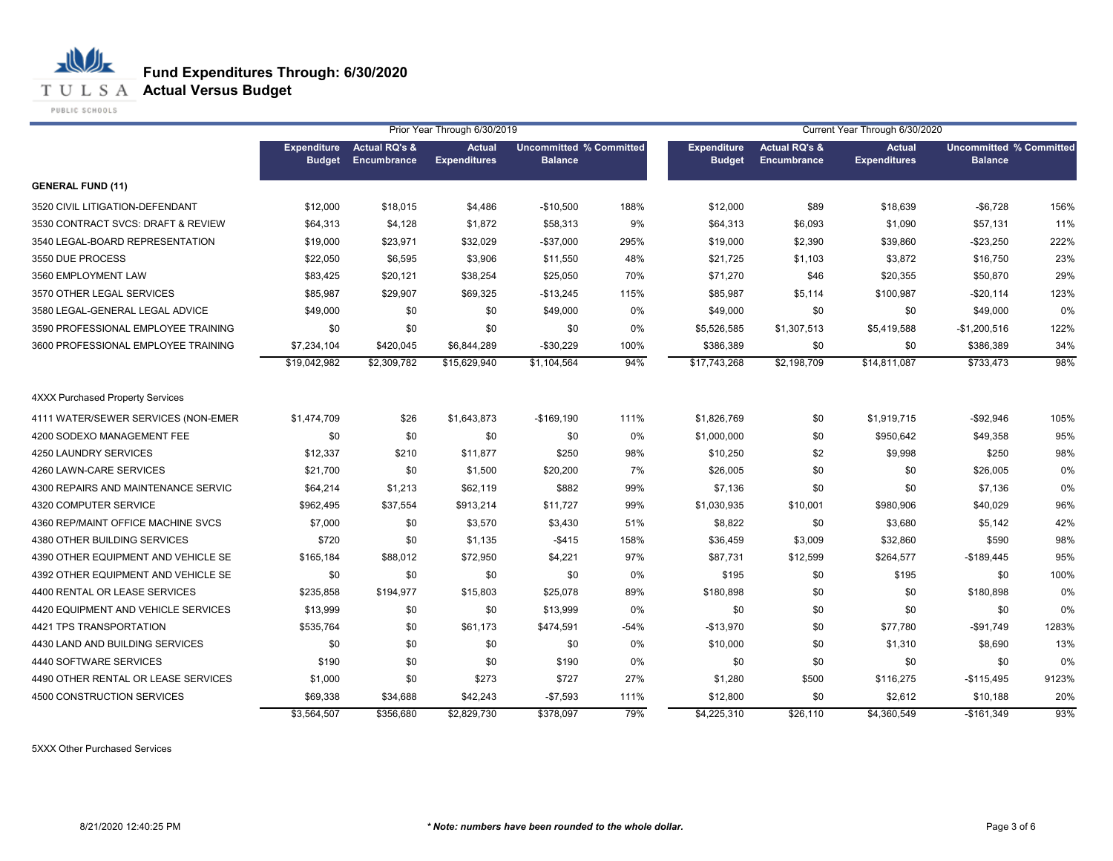**T U L S A Actual Versus Budget** 

PUBLIC SCHOOLS

心儿

|                                         | Prior Year Through 6/30/2019<br>Current Year Through 6/30/2020 |                                         |                                      |                                                  |        |                                     |                                         |                                      |                                                  |       |
|-----------------------------------------|----------------------------------------------------------------|-----------------------------------------|--------------------------------------|--------------------------------------------------|--------|-------------------------------------|-----------------------------------------|--------------------------------------|--------------------------------------------------|-------|
|                                         | <b>Expenditure</b><br><b>Budget</b>                            | <b>Actual RQ's &amp;</b><br>Encumbrance | <b>Actual</b><br><b>Expenditures</b> | <b>Uncommitted % Committed</b><br><b>Balance</b> |        | <b>Expenditure</b><br><b>Budget</b> | <b>Actual RQ's &amp;</b><br>Encumbrance | <b>Actual</b><br><b>Expenditures</b> | <b>Uncommitted % Committed</b><br><b>Balance</b> |       |
| <b>GENERAL FUND (11)</b>                |                                                                |                                         |                                      |                                                  |        |                                     |                                         |                                      |                                                  |       |
| 3520 CIVIL LITIGATION-DEFENDANT         | \$12,000                                                       | \$18,015                                | \$4,486                              | $-$10,500$                                       | 188%   | \$12,000                            | \$89                                    | \$18,639                             | $-$6,728$                                        | 156%  |
| 3530 CONTRACT SVCS: DRAFT & REVIEW      | \$64,313                                                       | \$4,128                                 | \$1,872                              | \$58,313                                         | 9%     | \$64,313                            | \$6,093                                 | \$1,090                              | \$57,131                                         | 11%   |
| 3540 LEGAL-BOARD REPRESENTATION         | \$19,000                                                       | \$23,971                                | \$32,029                             | $-$37,000$                                       | 295%   | \$19,000                            | \$2,390                                 | \$39,860                             | $-$23,250$                                       | 222%  |
| 3550 DUE PROCESS                        | \$22,050                                                       | \$6,595                                 | \$3,906                              | \$11,550                                         | 48%    | \$21,725                            | \$1,103                                 | \$3,872                              | \$16,750                                         | 23%   |
| 3560 EMPLOYMENT LAW                     | \$83,425                                                       | \$20,121                                | \$38,254                             | \$25,050                                         | 70%    | \$71,270                            | \$46                                    | \$20,355                             | \$50,870                                         | 29%   |
| 3570 OTHER LEGAL SERVICES               | \$85,987                                                       | \$29,907                                | \$69,325                             | $-$13,245$                                       | 115%   | \$85,987                            | \$5,114                                 | \$100,987                            | $-$20,114$                                       | 123%  |
| 3580 LEGAL-GENERAL LEGAL ADVICE         | \$49,000                                                       | \$0                                     | \$0                                  | \$49,000                                         | 0%     | \$49,000                            | \$0                                     | \$0                                  | \$49,000                                         | 0%    |
| 3590 PROFESSIONAL EMPLOYEE TRAINING     | \$0                                                            | \$0                                     | \$0                                  | \$0                                              | 0%     | \$5,526,585                         | \$1,307,513                             | \$5,419,588                          | $-$1,200,516$                                    | 122%  |
| 3600 PROFESSIONAL EMPLOYEE TRAINING     | \$7,234,104                                                    | \$420,045                               | \$6,844,289                          | $-$30,229$                                       | 100%   | \$386,389                           | \$0                                     | \$0                                  | \$386,389                                        | 34%   |
|                                         | \$19,042,982                                                   | \$2,309,782                             | \$15,629,940                         | \$1,104,564                                      | 94%    | \$17,743,268                        | \$2,198,709                             | \$14,811,087                         | \$733,473                                        | 98%   |
| <b>4XXX Purchased Property Services</b> |                                                                |                                         |                                      |                                                  |        |                                     |                                         |                                      |                                                  |       |
| 4111 WATER/SEWER SERVICES (NON-EMER     | \$1,474,709                                                    | \$26                                    | \$1,643,873                          | $-$169,190$                                      | 111%   | \$1,826,769                         | \$0                                     | \$1,919,715                          | $-$92,946$                                       | 105%  |
| 4200 SODEXO MANAGEMENT FEE              | \$0                                                            | \$0                                     | \$0                                  | \$0                                              | 0%     | \$1,000,000                         | \$0                                     | \$950,642                            | \$49,358                                         | 95%   |
| 4250 LAUNDRY SERVICES                   | \$12,337                                                       | \$210                                   | \$11,877                             | \$250                                            | 98%    | \$10,250                            | \$2                                     | \$9,998                              | \$250                                            | 98%   |
| 4260 LAWN-CARE SERVICES                 | \$21,700                                                       | \$0                                     | \$1,500                              | \$20,200                                         | 7%     | \$26,005                            | \$0                                     | \$0                                  | \$26,005                                         | 0%    |
| 4300 REPAIRS AND MAINTENANCE SERVIC     | \$64,214                                                       | \$1,213                                 | \$62,119                             | \$882                                            | 99%    | \$7,136                             | \$0                                     | \$0                                  | \$7,136                                          | 0%    |
| 4320 COMPUTER SERVICE                   | \$962,495                                                      | \$37,554                                | \$913,214                            | \$11,727                                         | 99%    | \$1,030,935                         | \$10,001                                | \$980,906                            | \$40,029                                         | 96%   |
| 4360 REP/MAINT OFFICE MACHINE SVCS      | \$7,000                                                        | \$0                                     | \$3,570                              | \$3,430                                          | 51%    | \$8,822                             | \$0                                     | \$3,680                              | \$5,142                                          | 42%   |
| 4380 OTHER BUILDING SERVICES            | \$720                                                          | \$0                                     | \$1,135                              | $-$415$                                          | 158%   | \$36,459                            | \$3,009                                 | \$32,860                             | \$590                                            | 98%   |
| 4390 OTHER EQUIPMENT AND VEHICLE SE     | \$165,184                                                      | \$88,012                                | \$72,950                             | \$4,221                                          | 97%    | \$87,731                            | \$12,599                                | \$264,577                            | $-$189,445$                                      | 95%   |
| 4392 OTHER EQUIPMENT AND VEHICLE SE     | \$0                                                            | \$0                                     | \$0                                  | \$0                                              | 0%     | \$195                               | \$0                                     | \$195                                | \$0                                              | 100%  |
| 4400 RENTAL OR LEASE SERVICES           | \$235,858                                                      | \$194,977                               | \$15,803                             | \$25,078                                         | 89%    | \$180,898                           | \$0                                     | \$0                                  | \$180,898                                        | 0%    |
| 4420 EQUIPMENT AND VEHICLE SERVICES     | \$13,999                                                       | \$0                                     | \$0                                  | \$13,999                                         | 0%     | \$0                                 | \$0                                     | \$0                                  | \$0                                              | 0%    |
| 4421 TPS TRANSPORTATION                 | \$535,764                                                      | \$0                                     | \$61,173                             | \$474,591                                        | $-54%$ | $-$13,970$                          | \$0                                     | \$77,780                             | $-$91,749$                                       | 1283% |
| 4430 LAND AND BUILDING SERVICES         | \$0                                                            | \$0                                     | \$0                                  | \$0                                              | 0%     | \$10,000                            | \$0                                     | \$1,310                              | \$8,690                                          | 13%   |
| 4440 SOFTWARE SERVICES                  | \$190                                                          | \$0                                     | \$0                                  | \$190                                            | 0%     | \$0                                 | \$0                                     | \$0                                  | \$0                                              | 0%    |
| 4490 OTHER RENTAL OR LEASE SERVICES     | \$1,000                                                        | \$0                                     | \$273                                | \$727                                            | 27%    | \$1,280                             | \$500                                   | \$116,275                            | $-$115,495$                                      | 9123% |
| 4500 CONSTRUCTION SERVICES              | \$69,338                                                       | \$34,688                                | \$42,243                             | $-$7,593$                                        | 111%   | \$12,800                            | \$0                                     | \$2,612                              | \$10,188                                         | 20%   |
|                                         | \$3,564,507                                                    | \$356,680                               | \$2,829,730                          | \$378,097                                        | 79%    | \$4,225,310                         | \$26,110                                | \$4,360,549                          | $-$161,349$                                      | 93%   |

5XXX Other Purchased Services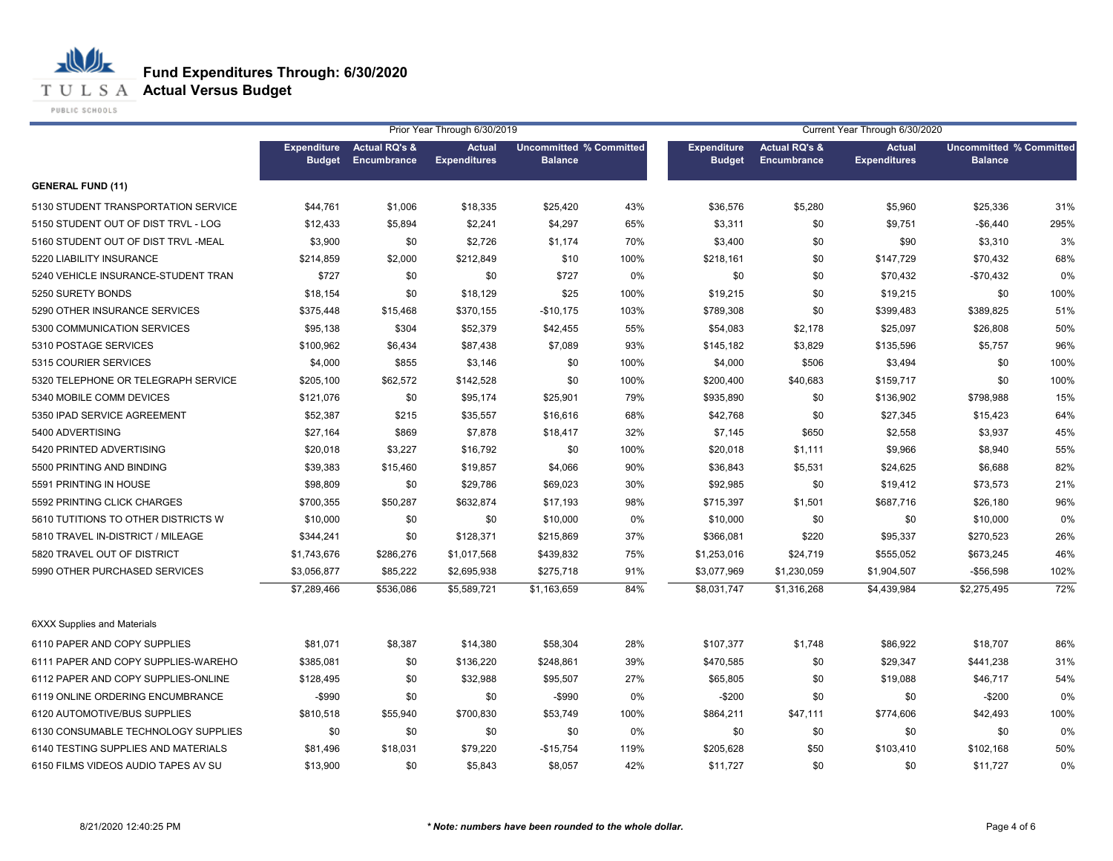**T U L S A Actual Versus Budget** 

PUBLIC SCHOOLS

|                                     |                                     |                                         | Prior Year Through 6/30/2019         |                                                  |      |                                     |                                                | Current Year Through 6/30/2020       |                                                  |      |
|-------------------------------------|-------------------------------------|-----------------------------------------|--------------------------------------|--------------------------------------------------|------|-------------------------------------|------------------------------------------------|--------------------------------------|--------------------------------------------------|------|
|                                     | <b>Expenditure</b><br><b>Budget</b> | <b>Actual RQ's &amp;</b><br>Encumbrance | <b>Actual</b><br><b>Expenditures</b> | <b>Uncommitted % Committed</b><br><b>Balance</b> |      | <b>Expenditure</b><br><b>Budget</b> | <b>Actual RQ's &amp;</b><br><b>Encumbrance</b> | <b>Actual</b><br><b>Expenditures</b> | <b>Uncommitted % Committed</b><br><b>Balance</b> |      |
| <b>GENERAL FUND (11)</b>            |                                     |                                         |                                      |                                                  |      |                                     |                                                |                                      |                                                  |      |
| 5130 STUDENT TRANSPORTATION SERVICE | \$44,761                            | \$1,006                                 | \$18,335                             | \$25,420                                         | 43%  | \$36,576                            | \$5,280                                        | \$5,960                              | \$25,336                                         | 31%  |
| 5150 STUDENT OUT OF DIST TRVL - LOG | \$12,433                            | \$5,894                                 | \$2,241                              | \$4,297                                          | 65%  | \$3,311                             | \$0                                            | \$9,751                              | $-$6,440$                                        | 295% |
| 5160 STUDENT OUT OF DIST TRVL -MEAL | \$3,900                             | \$0                                     | \$2,726                              | \$1,174                                          | 70%  | \$3,400                             | \$0                                            | \$90                                 | \$3,310                                          | 3%   |
| 5220 LIABILITY INSURANCE            | \$214,859                           | \$2,000                                 | \$212,849                            | \$10                                             | 100% | \$218,161                           | \$0                                            | \$147,729                            | \$70,432                                         | 68%  |
| 5240 VEHICLE INSURANCE-STUDENT TRAN | \$727                               | \$0                                     | \$0                                  | \$727                                            | 0%   | \$0                                 | \$0                                            | \$70,432                             | $-$70,432$                                       | 0%   |
| 5250 SURETY BONDS                   | \$18,154                            | \$0                                     | \$18,129                             | \$25                                             | 100% | \$19,215                            | \$0                                            | \$19,215                             | \$0                                              | 100% |
| 5290 OTHER INSURANCE SERVICES       | \$375,448                           | \$15,468                                | \$370,155                            | $-$10,175$                                       | 103% | \$789,308                           | \$0                                            | \$399,483                            | \$389,825                                        | 51%  |
| 5300 COMMUNICATION SERVICES         | \$95,138                            | \$304                                   | \$52,379                             | \$42,455                                         | 55%  | \$54,083                            | \$2,178                                        | \$25,097                             | \$26,808                                         | 50%  |
| 5310 POSTAGE SERVICES               | \$100,962                           | \$6,434                                 | \$87,438                             | \$7,089                                          | 93%  | \$145,182                           | \$3,829                                        | \$135,596                            | \$5,757                                          | 96%  |
| 5315 COURIER SERVICES               | \$4,000                             | \$855                                   | \$3,146                              | \$0                                              | 100% | \$4,000                             | \$506                                          | \$3,494                              | \$0                                              | 100% |
| 5320 TELEPHONE OR TELEGRAPH SERVICE | \$205,100                           | \$62,572                                | \$142,528                            | \$0                                              | 100% | \$200,400                           | \$40,683                                       | \$159,717                            | \$0                                              | 100% |
| 5340 MOBILE COMM DEVICES            | \$121,076                           | \$0                                     | \$95,174                             | \$25,901                                         | 79%  | \$935,890                           | \$0                                            | \$136,902                            | \$798,988                                        | 15%  |
| 5350 IPAD SERVICE AGREEMENT         | \$52,387                            | \$215                                   | \$35,557                             | \$16,616                                         | 68%  | \$42,768                            | \$0                                            | \$27,345                             | \$15,423                                         | 64%  |
| 5400 ADVERTISING                    | \$27,164                            | \$869                                   | \$7,878                              | \$18,417                                         | 32%  | \$7,145                             | \$650                                          | \$2,558                              | \$3,937                                          | 45%  |
| 5420 PRINTED ADVERTISING            | \$20,018                            | \$3,227                                 | \$16,792                             | \$0                                              | 100% | \$20,018                            | \$1,111                                        | \$9,966                              | \$8,940                                          | 55%  |
| 5500 PRINTING AND BINDING           | \$39,383                            | \$15,460                                | \$19,857                             | \$4,066                                          | 90%  | \$36,843                            | \$5,531                                        | \$24,625                             | \$6,688                                          | 82%  |
| 5591 PRINTING IN HOUSE              | \$98,809                            | \$0                                     | \$29,786                             | \$69,023                                         | 30%  | \$92,985                            | \$0                                            | \$19,412                             | \$73,573                                         | 21%  |
| 5592 PRINTING CLICK CHARGES         | \$700,355                           | \$50,287                                | \$632,874                            | \$17,193                                         | 98%  | \$715,397                           | \$1,501                                        | \$687,716                            | \$26,180                                         | 96%  |
| 5610 TUTITIONS TO OTHER DISTRICTS W | \$10,000                            | \$0                                     | \$0                                  | \$10,000                                         | 0%   | \$10,000                            | \$0                                            | \$0                                  | \$10,000                                         | 0%   |
| 5810 TRAVEL IN-DISTRICT / MILEAGE   | \$344,241                           | \$0                                     | \$128,371                            | \$215,869                                        | 37%  | \$366,081                           | \$220                                          | \$95,337                             | \$270,523                                        | 26%  |
| 5820 TRAVEL OUT OF DISTRICT         | \$1,743,676                         | \$286,276                               | \$1,017,568                          | \$439,832                                        | 75%  | \$1,253,016                         | \$24,719                                       | \$555,052                            | \$673,245                                        | 46%  |
| 5990 OTHER PURCHASED SERVICES       | \$3,056,877                         | \$85,222                                | \$2,695,938                          | \$275,718                                        | 91%  | \$3,077,969                         | \$1,230,059                                    | \$1,904,507                          | $-$56,598$                                       | 102% |
|                                     | \$7,289,466                         | \$536,086                               | \$5,589,721                          | \$1,163,659                                      | 84%  | \$8,031,747                         | \$1,316,268                                    | \$4,439,984                          | \$2,275,495                                      | 72%  |
| <b>6XXX Supplies and Materials</b>  |                                     |                                         |                                      |                                                  |      |                                     |                                                |                                      |                                                  |      |
| 6110 PAPER AND COPY SUPPLIES        | \$81,071                            | \$8,387                                 | \$14,380                             | \$58,304                                         | 28%  | \$107,377                           | \$1,748                                        | \$86,922                             | \$18,707                                         | 86%  |
| 6111 PAPER AND COPY SUPPLIES-WAREHO | \$385,081                           | \$0                                     | \$136,220                            | \$248,861                                        | 39%  | \$470,585                           | \$0                                            | \$29,347                             | \$441,238                                        | 31%  |
| 6112 PAPER AND COPY SUPPLIES-ONLINE | \$128,495                           | \$0                                     | \$32,988                             | \$95,507                                         | 27%  | \$65,805                            | \$0                                            | \$19,088                             | \$46,717                                         | 54%  |
| 6119 ONLINE ORDERING ENCUMBRANCE    | $-$ \$990                           | \$0                                     | \$0                                  | $-$ \$990                                        | 0%   | $-$200$                             | \$0                                            | \$0                                  | $-$200$                                          | 0%   |
| 6120 AUTOMOTIVE/BUS SUPPLIES        | \$810,518                           | \$55,940                                | \$700,830                            | \$53,749                                         | 100% | \$864,211                           | \$47,111                                       | \$774,606                            | \$42,493                                         | 100% |
| 6130 CONSUMABLE TECHNOLOGY SUPPLIES | \$0                                 | \$0                                     | \$0                                  | \$0                                              | 0%   | \$0                                 | \$0                                            | \$0                                  | \$0                                              | 0%   |
| 6140 TESTING SUPPLIES AND MATERIALS | \$81,496                            | \$18,031                                | \$79,220                             | $-$15,754$                                       | 119% | \$205,628                           | \$50                                           | \$103,410                            | \$102,168                                        | 50%  |
| 6150 FILMS VIDEOS AUDIO TAPES AV SU | \$13,900                            | \$0                                     | \$5,843                              | \$8,057                                          | 42%  | \$11,727                            | \$0                                            | \$0                                  | \$11,727                                         | 0%   |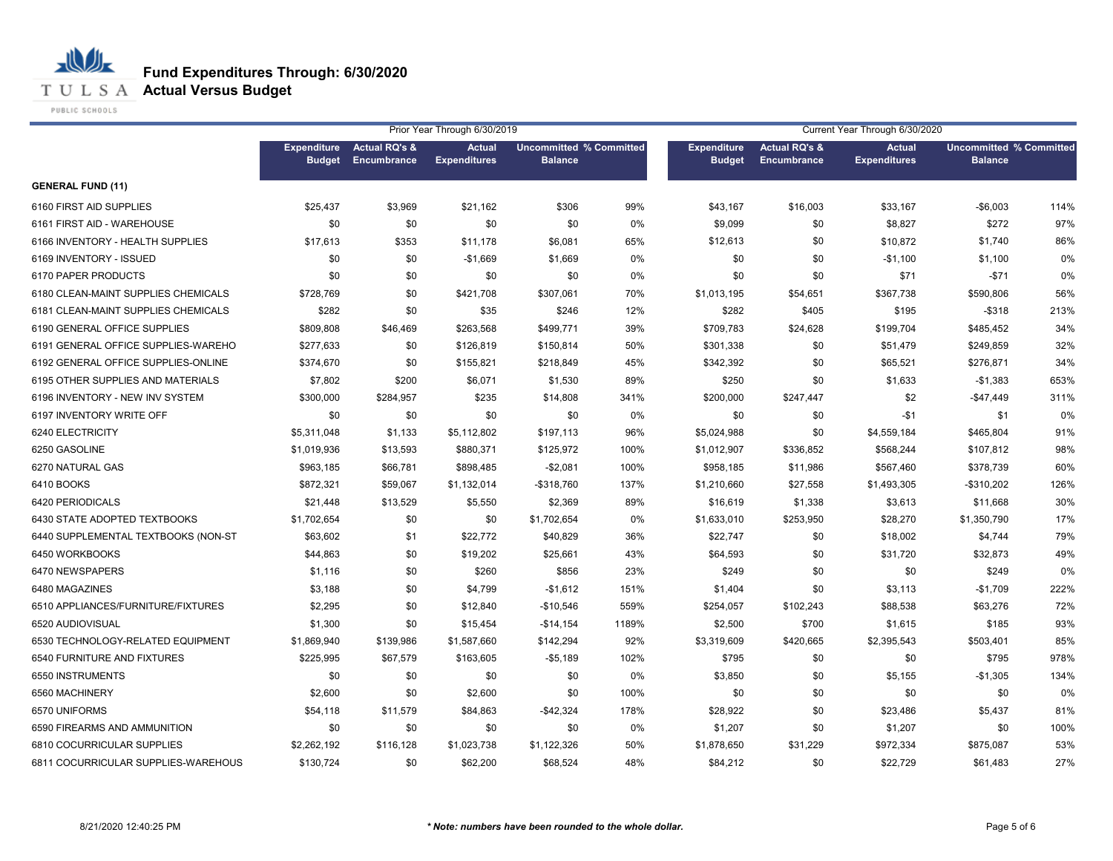**T U L S A Actual Versus Budget** 

PUBLIC SCHOOLS

|                                     |                                     |                                         | Prior Year Through 6/30/2019         |                                                  |       | Current Year Through 6/30/2020      |                                         |                                      |                                                  |      |
|-------------------------------------|-------------------------------------|-----------------------------------------|--------------------------------------|--------------------------------------------------|-------|-------------------------------------|-----------------------------------------|--------------------------------------|--------------------------------------------------|------|
|                                     | <b>Expenditure</b><br><b>Budget</b> | <b>Actual RQ's &amp;</b><br>Encumbrance | <b>Actual</b><br><b>Expenditures</b> | <b>Uncommitted % Committed</b><br><b>Balance</b> |       | <b>Expenditure</b><br><b>Budget</b> | <b>Actual RQ's &amp;</b><br>Encumbrance | <b>Actual</b><br><b>Expenditures</b> | <b>Uncommitted % Committed</b><br><b>Balance</b> |      |
| <b>GENERAL FUND (11)</b>            |                                     |                                         |                                      |                                                  |       |                                     |                                         |                                      |                                                  |      |
| 6160 FIRST AID SUPPLIES             | \$25,437                            | \$3,969                                 | \$21,162                             | \$306                                            | 99%   | \$43,167                            | \$16,003                                | \$33,167                             | $-$6,003$                                        | 114% |
| 6161 FIRST AID - WAREHOUSE          | \$0                                 | \$0                                     | \$0                                  | \$0                                              | 0%    | \$9,099                             | \$0                                     | \$8,827                              | \$272                                            | 97%  |
| 6166 INVENTORY - HEALTH SUPPLIES    | \$17,613                            | \$353                                   | \$11,178                             | \$6,081                                          | 65%   | \$12,613                            | \$0                                     | \$10,872                             | \$1,740                                          | 86%  |
| 6169 INVENTORY - ISSUED             | \$0                                 | \$0                                     | $-$1,669$                            | \$1,669                                          | 0%    | \$0                                 | \$0                                     | $-$1,100$                            | \$1,100                                          | 0%   |
| 6170 PAPER PRODUCTS                 | \$0                                 | \$0                                     | \$0                                  | \$0                                              | 0%    | \$0                                 | \$0                                     | \$71                                 | $-$71$                                           | 0%   |
| 6180 CLEAN-MAINT SUPPLIES CHEMICALS | \$728,769                           | \$0                                     | \$421,708                            | \$307,061                                        | 70%   | \$1,013,195                         | \$54,651                                | \$367,738                            | \$590,806                                        | 56%  |
| 6181 CLEAN-MAINT SUPPLIES CHEMICALS | \$282                               | \$0                                     | \$35                                 | \$246                                            | 12%   | \$282                               | \$405                                   | \$195                                | $-$ \$318                                        | 213% |
| 6190 GENERAL OFFICE SUPPLIES        | \$809,808                           | \$46,469                                | \$263,568                            | \$499,771                                        | 39%   | \$709,783                           | \$24,628                                | \$199,704                            | \$485,452                                        | 34%  |
| 6191 GENERAL OFFICE SUPPLIES-WAREHO | \$277,633                           | \$0                                     | \$126,819                            | \$150,814                                        | 50%   | \$301,338                           | \$0                                     | \$51,479                             | \$249,859                                        | 32%  |
| 6192 GENERAL OFFICE SUPPLIES-ONLINE | \$374,670                           | \$0                                     | \$155,821                            | \$218,849                                        | 45%   | \$342,392                           | \$0                                     | \$65,521                             | \$276,871                                        | 34%  |
| 6195 OTHER SUPPLIES AND MATERIALS   | \$7,802                             | \$200                                   | \$6,071                              | \$1,530                                          | 89%   | \$250                               | \$0                                     | \$1,633                              | $-$1,383$                                        | 653% |
| 6196 INVENTORY - NEW INV SYSTEM     | \$300,000                           | \$284,957                               | \$235                                | \$14,808                                         | 341%  | \$200,000                           | \$247,447                               | \$2                                  | $-$47,449$                                       | 311% |
| 6197 INVENTORY WRITE OFF            | \$0                                 | \$0                                     | \$0                                  | \$0                                              | 0%    | \$0                                 | \$0                                     | $-$1$                                | \$1                                              | 0%   |
| 6240 ELECTRICITY                    | \$5,311,048                         | \$1,133                                 | \$5,112,802                          | \$197,113                                        | 96%   | \$5,024,988                         | \$0                                     | \$4,559,184                          | \$465,804                                        | 91%  |
| 6250 GASOLINE                       | \$1,019,936                         | \$13,593                                | \$880,371                            | \$125,972                                        | 100%  | \$1,012,907                         | \$336,852                               | \$568,244                            | \$107,812                                        | 98%  |
| 6270 NATURAL GAS                    | \$963,185                           | \$66,781                                | \$898,485                            | $-$2,081$                                        | 100%  | \$958,185                           | \$11,986                                | \$567,460                            | \$378,739                                        | 60%  |
| 6410 BOOKS                          | \$872,321                           | \$59,067                                | \$1,132,014                          | -\$318,760                                       | 137%  | \$1,210,660                         | \$27,558                                | \$1,493,305                          | $-$310,202$                                      | 126% |
| 6420 PERIODICALS                    | \$21,448                            | \$13,529                                | \$5,550                              | \$2,369                                          | 89%   | \$16,619                            | \$1,338                                 | \$3,613                              | \$11,668                                         | 30%  |
| 6430 STATE ADOPTED TEXTBOOKS        | \$1,702,654                         | \$0                                     | \$0                                  | \$1,702,654                                      | 0%    | \$1,633,010                         | \$253,950                               | \$28,270                             | \$1,350,790                                      | 17%  |
| 6440 SUPPLEMENTAL TEXTBOOKS (NON-ST | \$63,602                            | \$1                                     | \$22,772                             | \$40,829                                         | 36%   | \$22,747                            | \$0                                     | \$18,002                             | \$4,744                                          | 79%  |
| 6450 WORKBOOKS                      | \$44,863                            | \$0                                     | \$19,202                             | \$25,661                                         | 43%   | \$64,593                            | \$0                                     | \$31,720                             | \$32,873                                         | 49%  |
| 6470 NEWSPAPERS                     | \$1,116                             | \$0                                     | \$260                                | \$856                                            | 23%   | \$249                               | \$0                                     | \$0                                  | \$249                                            | 0%   |
| 6480 MAGAZINES                      | \$3,188                             | \$0                                     | \$4,799                              | $-$1,612$                                        | 151%  | \$1,404                             | \$0                                     | \$3,113                              | $-$1,709$                                        | 222% |
| 6510 APPLIANCES/FURNITURE/FIXTURES  | \$2,295                             | \$0                                     | \$12,840                             | $-$10,546$                                       | 559%  | \$254,057                           | \$102,243                               | \$88,538                             | \$63,276                                         | 72%  |
| 6520 AUDIOVISUAL                    | \$1,300                             | \$0                                     | \$15,454                             | $-$14,154$                                       | 1189% | \$2,500                             | \$700                                   | \$1,615                              | \$185                                            | 93%  |
| 6530 TECHNOLOGY-RELATED EQUIPMENT   | \$1,869,940                         | \$139,986                               | \$1,587,660                          | \$142,294                                        | 92%   | \$3,319,609                         | \$420,665                               | \$2,395,543                          | \$503,401                                        | 85%  |
| 6540 FURNITURE AND FIXTURES         | \$225,995                           | \$67,579                                | \$163,605                            | $-$5,189$                                        | 102%  | \$795                               | \$0                                     | \$0                                  | \$795                                            | 978% |
| 6550 INSTRUMENTS                    | \$0                                 | \$0                                     | \$0                                  | \$0                                              | 0%    | \$3,850                             | \$0                                     | \$5,155                              | $-$1,305$                                        | 134% |
| 6560 MACHINERY                      | \$2,600                             | \$0                                     | \$2,600                              | \$0                                              | 100%  | \$0                                 | \$0                                     | \$0                                  | \$0                                              | 0%   |
| 6570 UNIFORMS                       | \$54,118                            | \$11,579                                | \$84,863                             | $-$42,324$                                       | 178%  | \$28,922                            | \$0                                     | \$23,486                             | \$5,437                                          | 81%  |
| 6590 FIREARMS AND AMMUNITION        | \$0                                 | \$0                                     | \$0                                  | \$0                                              | 0%    | \$1,207                             | \$0                                     | \$1,207                              | \$0                                              | 100% |
| 6810 COCURRICULAR SUPPLIES          | \$2,262,192                         | \$116,128                               | \$1,023,738                          | \$1,122,326                                      | 50%   | \$1,878,650                         | \$31,229                                | \$972,334                            | \$875,087                                        | 53%  |
| 6811 COCURRICULAR SUPPLIES-WAREHOUS | \$130,724                           | \$0                                     | \$62,200                             | \$68,524                                         | 48%   | \$84,212                            | \$0                                     | \$22,729                             | \$61,483                                         | 27%  |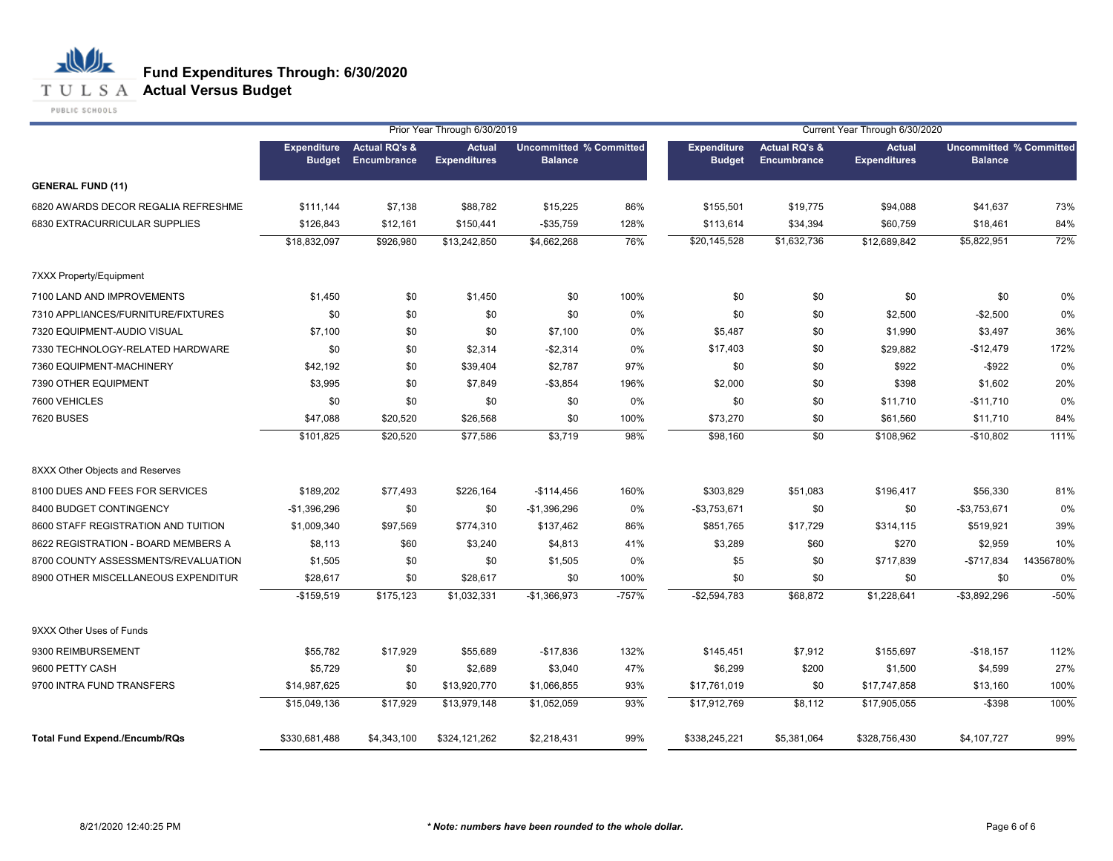## **T U L S A Actual Versus Budget**

PUBLIC SCHOOLS

|                                      |                                     |                                         | Prior Year Through 6/30/2019         |                                                  |         |                                     |                                                | Current Year Through 6/30/2020       |                                                  |           |
|--------------------------------------|-------------------------------------|-----------------------------------------|--------------------------------------|--------------------------------------------------|---------|-------------------------------------|------------------------------------------------|--------------------------------------|--------------------------------------------------|-----------|
|                                      | <b>Expenditure</b><br><b>Budget</b> | <b>Actual RQ's &amp;</b><br>Encumbrance | <b>Actual</b><br><b>Expenditures</b> | <b>Uncommitted % Committed</b><br><b>Balance</b> |         | <b>Expenditure</b><br><b>Budget</b> | <b>Actual RQ's &amp;</b><br><b>Encumbrance</b> | <b>Actual</b><br><b>Expenditures</b> | <b>Uncommitted % Committed</b><br><b>Balance</b> |           |
| <b>GENERAL FUND (11)</b>             |                                     |                                         |                                      |                                                  |         |                                     |                                                |                                      |                                                  |           |
| 6820 AWARDS DECOR REGALIA REFRESHME  | \$111,144                           | \$7,138                                 | \$88,782                             | \$15,225                                         | 86%     | \$155,501                           | \$19,775                                       | \$94,088                             | \$41,637                                         | 73%       |
| 6830 EXTRACURRICULAR SUPPLIES        | \$126,843                           | \$12,161                                | \$150,441                            | $-$ \$35,759                                     | 128%    | \$113,614                           | \$34,394                                       | \$60,759                             | \$18,461                                         | 84%       |
|                                      | \$18,832,097                        | \$926,980                               | \$13,242,850                         | \$4,662,268                                      | 76%     | \$20,145,528                        | \$1,632,736                                    | \$12,689,842                         | \$5,822,951                                      | 72%       |
| 7XXX Property/Equipment              |                                     |                                         |                                      |                                                  |         |                                     |                                                |                                      |                                                  |           |
| 7100 LAND AND IMPROVEMENTS           | \$1,450                             | \$0                                     | \$1,450                              | \$0                                              | 100%    | \$0                                 | \$0                                            | \$0                                  | \$0                                              | 0%        |
| 7310 APPLIANCES/FURNITURE/FIXTURES   | \$0                                 | \$0                                     | \$0                                  | \$0                                              | 0%      | \$0                                 | \$0                                            | \$2,500                              | $-$2,500$                                        | 0%        |
| 7320 EQUIPMENT-AUDIO VISUAL          | \$7,100                             | \$0                                     | \$0                                  | \$7,100                                          | 0%      | \$5,487                             | \$0                                            | \$1,990                              | \$3,497                                          | 36%       |
| 7330 TECHNOLOGY-RELATED HARDWARE     | \$0                                 | \$0                                     | \$2,314                              | $-$2,314$                                        | 0%      | \$17,403                            | \$0                                            | \$29,882                             | $-$12,479$                                       | 172%      |
| 7360 EQUIPMENT-MACHINERY             | \$42,192                            | \$0                                     | \$39,404                             | \$2,787                                          | 97%     | \$0                                 | \$0                                            | \$922                                | $-$ \$922                                        | 0%        |
| 7390 OTHER EQUIPMENT                 | \$3,995                             | \$0                                     | \$7,849                              | $- $3,854$                                       | 196%    | \$2,000                             | \$0                                            | \$398                                | \$1,602                                          | 20%       |
| 7600 VEHICLES                        | \$0                                 | \$0                                     | \$0                                  | \$0                                              | 0%      | \$0                                 | \$0                                            | \$11,710                             | $-$11,710$                                       | 0%        |
| 7620 BUSES                           | \$47,088                            | \$20,520                                | \$26,568                             | \$0                                              | 100%    | \$73,270                            | \$0                                            | \$61,560                             | \$11,710                                         | 84%       |
|                                      | \$101,825                           | \$20,520                                | \$77,586                             | \$3,719                                          | 98%     | \$98,160                            | \$0                                            | \$108,962                            | $-$10,802$                                       | 111%      |
| 8XXX Other Objects and Reserves      |                                     |                                         |                                      |                                                  |         |                                     |                                                |                                      |                                                  |           |
| 8100 DUES AND FEES FOR SERVICES      | \$189,202                           | \$77,493                                | \$226,164                            | $-$114,456$                                      | 160%    | \$303,829                           | \$51,083                                       | \$196,417                            | \$56,330                                         | 81%       |
| 8400 BUDGET CONTINGENCY              | $-$1,396,296$                       | \$0                                     | \$0                                  | $-$1,396,296$                                    | 0%      | $-$3,753,671$                       | \$0                                            | \$0                                  | $-$3,753,671$                                    | 0%        |
| 8600 STAFF REGISTRATION AND TUITION  | \$1,009,340                         | \$97,569                                | \$774,310                            | \$137,462                                        | 86%     | \$851,765                           | \$17,729                                       | \$314,115                            | \$519,921                                        | 39%       |
| 8622 REGISTRATION - BOARD MEMBERS A  | \$8,113                             | \$60                                    | \$3,240                              | \$4,813                                          | 41%     | \$3,289                             | \$60                                           | \$270                                | \$2,959                                          | 10%       |
| 8700 COUNTY ASSESSMENTS/REVALUATION  | \$1,505                             | \$0                                     | \$0                                  | \$1,505                                          | 0%      | \$5                                 | \$0                                            | \$717,839                            | $-$717,834$                                      | 14356780% |
| 8900 OTHER MISCELLANEOUS EXPENDITUR  | \$28,617                            | \$0                                     | \$28,617                             | \$0                                              | 100%    | \$0                                 | \$0                                            | \$0                                  | \$0                                              | 0%        |
|                                      | $-$159,519$                         | \$175,123                               | \$1,032,331                          | $-$1,366,973$                                    | $-757%$ | $-$2,594,783$                       | \$68,872                                       | \$1,228,641                          | $-$3,892,296$                                    | $-50%$    |
| 9XXX Other Uses of Funds             |                                     |                                         |                                      |                                                  |         |                                     |                                                |                                      |                                                  |           |
| 9300 REIMBURSEMENT                   | \$55,782                            | \$17,929                                | \$55,689                             | $-$17,836$                                       | 132%    | \$145,451                           | \$7,912                                        | \$155,697                            | $-$18,157$                                       | 112%      |
| 9600 PETTY CASH                      | \$5,729                             | \$0                                     | \$2,689                              | \$3,040                                          | 47%     | \$6,299                             | \$200                                          | \$1,500                              | \$4,599                                          | 27%       |
| 9700 INTRA FUND TRANSFERS            | \$14,987,625                        | \$0                                     | \$13,920,770                         | \$1,066,855                                      | 93%     | \$17,761,019                        | \$0                                            | \$17,747,858                         | \$13,160                                         | 100%      |
|                                      | \$15,049,136                        | \$17,929                                | \$13,979,148                         | \$1,052,059                                      | 93%     | \$17,912,769                        | \$8,112                                        | \$17,905,055                         | $-$ \$398                                        | 100%      |
| <b>Total Fund Expend./Encumb/RQs</b> | \$330,681,488                       | \$4,343,100                             | \$324,121,262                        | \$2,218,431                                      | 99%     | \$338,245,221                       | \$5,381,064                                    | \$328,756,430                        | \$4,107,727                                      | 99%       |
|                                      |                                     |                                         |                                      |                                                  |         |                                     |                                                |                                      |                                                  |           |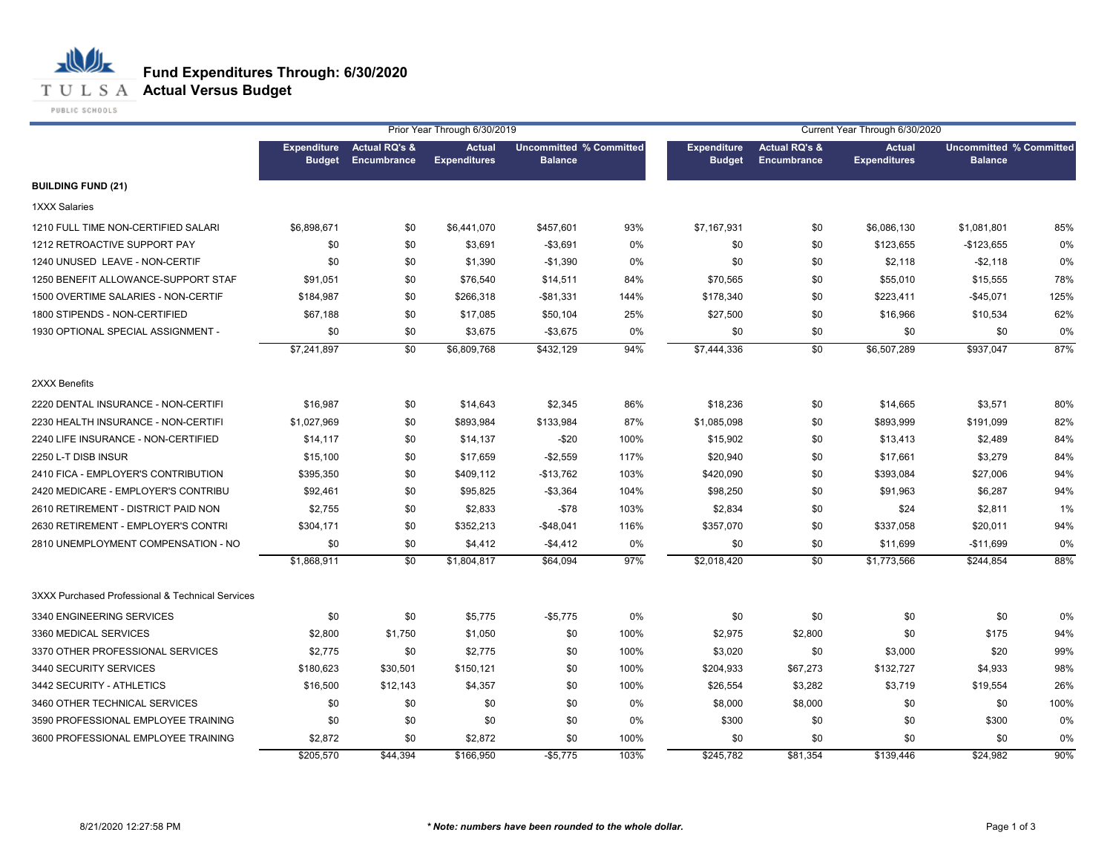**T U L S A Actual Versus Budget** 

PUBLIC SCHOOLS

| Prior Year Through 6/30/2019<br>Current Year Through 6/30/2020<br><b>Uncommitted % Committed</b> |                                     |                                         |                                      |                |      |                                     |                                                |                                      |                                                  |      |
|--------------------------------------------------------------------------------------------------|-------------------------------------|-----------------------------------------|--------------------------------------|----------------|------|-------------------------------------|------------------------------------------------|--------------------------------------|--------------------------------------------------|------|
|                                                                                                  | <b>Expenditure</b><br><b>Budget</b> | <b>Actual RQ's &amp;</b><br>Encumbrance | <b>Actual</b><br><b>Expenditures</b> | <b>Balance</b> |      | <b>Expenditure</b><br><b>Budget</b> | <b>Actual RQ's &amp;</b><br><b>Encumbrance</b> | <b>Actual</b><br><b>Expenditures</b> | <b>Uncommitted % Committed</b><br><b>Balance</b> |      |
| <b>BUILDING FUND (21)</b>                                                                        |                                     |                                         |                                      |                |      |                                     |                                                |                                      |                                                  |      |
| <b>1XXX Salaries</b>                                                                             |                                     |                                         |                                      |                |      |                                     |                                                |                                      |                                                  |      |
| 1210 FULL TIME NON-CERTIFIED SALARI                                                              | \$6,898,671                         | \$0                                     | \$6,441,070                          | \$457,601      | 93%  | \$7,167,931                         | \$0                                            | \$6,086,130                          | \$1,081,801                                      | 85%  |
| 1212 RETROACTIVE SUPPORT PAY                                                                     | \$0                                 | \$0                                     | \$3,691                              | $-$3,691$      | 0%   | \$0                                 | \$0                                            | \$123,655                            | $-$123,655$                                      | 0%   |
| 1240 UNUSED LEAVE - NON-CERTIF                                                                   | \$0                                 | \$0                                     | \$1,390                              | $-$1,390$      | 0%   | \$0                                 | \$0                                            | \$2,118                              | $-$2,118$                                        | 0%   |
| 1250 BENEFIT ALLOWANCE-SUPPORT STAF                                                              | \$91,051                            | \$0                                     | \$76,540                             | \$14,511       | 84%  | \$70,565                            | \$0                                            | \$55,010                             | \$15,555                                         | 78%  |
| 1500 OVERTIME SALARIES - NON-CERTIF                                                              | \$184,987                           | \$0                                     | \$266,318                            | $-$81,331$     | 144% | \$178,340                           | \$0                                            | \$223,411                            | $-$45,071$                                       | 125% |
| 1800 STIPENDS - NON-CERTIFIED                                                                    | \$67,188                            | \$0                                     | \$17,085                             | \$50,104       | 25%  | \$27,500                            | \$0                                            | \$16,966                             | \$10,534                                         | 62%  |
| 1930 OPTIONAL SPECIAL ASSIGNMENT -                                                               | \$0                                 | \$0                                     | \$3,675                              | $-$3,675$      | 0%   | \$0                                 | \$0                                            | \$0                                  | \$0                                              | 0%   |
|                                                                                                  | \$7,241,897                         | \$0                                     | \$6,809,768                          | \$432,129      | 94%  | \$7,444,336                         | \$0                                            | \$6,507,289                          | \$937,047                                        | 87%  |
| 2XXX Benefits                                                                                    |                                     |                                         |                                      |                |      |                                     |                                                |                                      |                                                  |      |
| 2220 DENTAL INSURANCE - NON-CERTIFI                                                              | \$16,987                            | \$0                                     | \$14,643                             | \$2,345        | 86%  | \$18,236                            | \$0                                            | \$14,665                             | \$3,571                                          | 80%  |
| 2230 HEALTH INSURANCE - NON-CERTIFI                                                              | \$1,027,969                         | \$0                                     | \$893,984                            | \$133,984      | 87%  | \$1,085,098                         | \$0                                            | \$893,999                            | \$191,099                                        | 82%  |
| 2240 LIFE INSURANCE - NON-CERTIFIED                                                              | \$14,117                            | \$0                                     | \$14,137                             | $-$20$         | 100% | \$15,902                            | \$0                                            | \$13,413                             | \$2,489                                          | 84%  |
| 2250 L-T DISB INSUR                                                                              | \$15,100                            | \$0                                     | \$17,659                             | $-$2,559$      | 117% | \$20,940                            | \$0                                            | \$17,661                             | \$3,279                                          | 84%  |
| 2410 FICA - EMPLOYER'S CONTRIBUTION                                                              | \$395,350                           | \$0                                     | \$409,112                            | $-$13,762$     | 103% | \$420,090                           | \$0                                            | \$393,084                            | \$27,006                                         | 94%  |
| 2420 MEDICARE - EMPLOYER'S CONTRIBU                                                              | \$92,461                            | \$0                                     | \$95,825                             | $-$3,364$      | 104% | \$98,250                            | \$0                                            | \$91,963                             | \$6,287                                          | 94%  |
| 2610 RETIREMENT - DISTRICT PAID NON                                                              | \$2,755                             | \$0                                     | \$2,833                              | $- $78$        | 103% | \$2,834                             | \$0                                            | \$24                                 | \$2,811                                          | 1%   |
| 2630 RETIREMENT - EMPLOYER'S CONTRI                                                              | \$304,171                           | \$0                                     | \$352,213                            | $-$48,041$     | 116% | \$357,070                           | \$0                                            | \$337,058                            | \$20,011                                         | 94%  |
| 2810 UNEMPLOYMENT COMPENSATION - NO                                                              | \$0                                 | \$0                                     | \$4,412                              | $-$4,412$      | 0%   | \$0                                 | \$0                                            | \$11,699                             | $-$11,699$                                       | 0%   |
|                                                                                                  | \$1,868,911                         | \$0                                     | \$1,804,817                          | \$64,094       | 97%  | \$2,018,420                         | \$0                                            | \$1,773,566                          | \$244,854                                        | 88%  |
| 3XXX Purchased Professional & Technical Services                                                 |                                     |                                         |                                      |                |      |                                     |                                                |                                      |                                                  |      |
| 3340 ENGINEERING SERVICES                                                                        | \$0                                 | \$0                                     | \$5,775                              | $-$5,775$      | 0%   | \$0                                 | \$0                                            | \$0                                  | \$0                                              | 0%   |
| 3360 MEDICAL SERVICES                                                                            | \$2,800                             | \$1,750                                 | \$1,050                              | \$0            | 100% | \$2,975                             | \$2,800                                        | \$0                                  | \$175                                            | 94%  |
| 3370 OTHER PROFESSIONAL SERVICES                                                                 | \$2,775                             | \$0                                     | \$2,775                              | \$0            | 100% | \$3,020                             | \$0                                            | \$3,000                              | \$20                                             | 99%  |
| 3440 SECURITY SERVICES                                                                           | \$180,623                           | \$30,501                                | \$150,121                            | \$0            | 100% | \$204,933                           | \$67,273                                       | \$132,727                            | \$4,933                                          | 98%  |
| 3442 SECURITY - ATHLETICS                                                                        | \$16,500                            | \$12,143                                | \$4,357                              | \$0            | 100% | \$26,554                            | \$3,282                                        | \$3,719                              | \$19,554                                         | 26%  |
| 3460 OTHER TECHNICAL SERVICES                                                                    | \$0                                 | \$0                                     | \$0                                  | \$0            | 0%   | \$8,000                             | \$8,000                                        | \$0                                  | \$0                                              | 100% |
| 3590 PROFESSIONAL EMPLOYEE TRAINING                                                              | \$0                                 | \$0                                     | \$0                                  | \$0            | 0%   | \$300                               | \$0                                            | \$0                                  | \$300                                            | 0%   |
| 3600 PROFESSIONAL EMPLOYEE TRAINING                                                              | \$2,872                             | \$0                                     | \$2,872                              | \$0            | 100% | \$0                                 | \$0                                            | \$0                                  | \$0                                              | 0%   |
|                                                                                                  | \$205,570                           | \$44,394                                | \$166,950                            | $-$5,775$      | 103% | \$245,782                           | \$81,354                                       | \$139.446                            | \$24.982                                         | 90%  |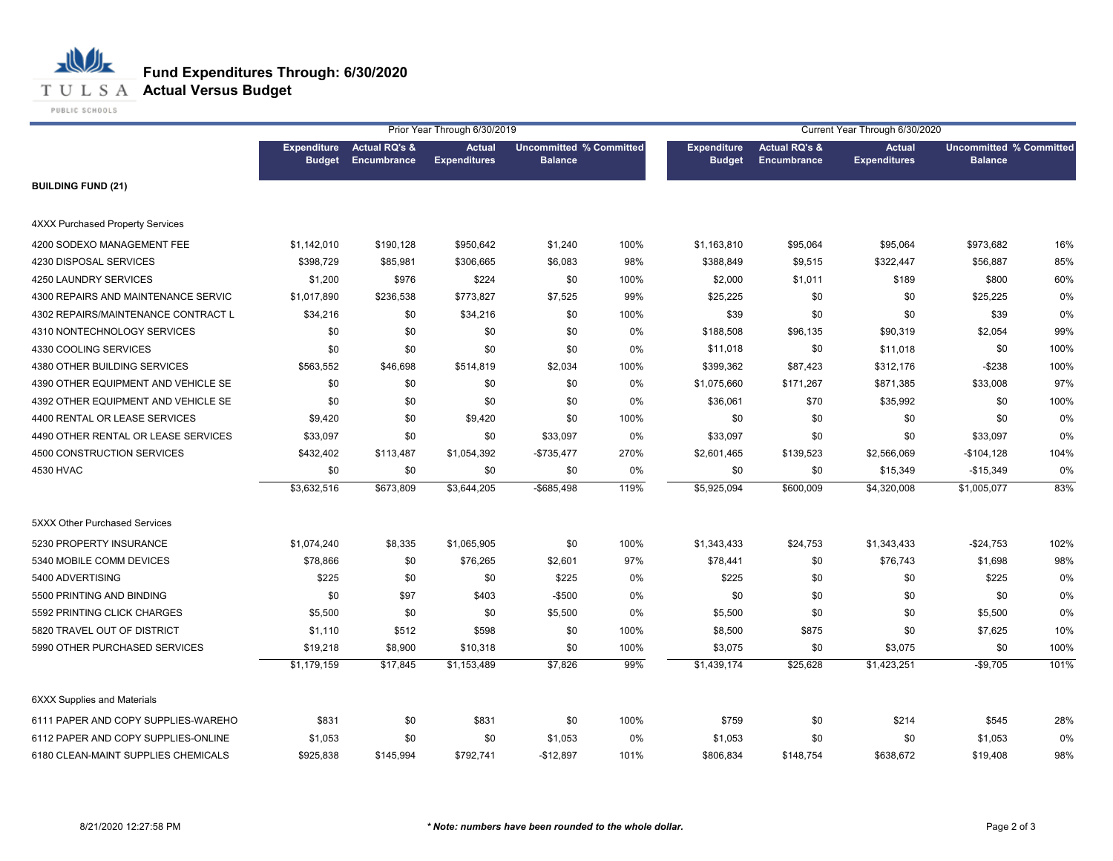

**T U L S A Actual Versus Budget** 

PUBLIC SCHOOLS

|                                         |                                     |                                         | Prior Year Through 6/30/2019         |                                                  |      |                                     |                                                | Current Year Through 6/30/2020       |                                                  |      |
|-----------------------------------------|-------------------------------------|-----------------------------------------|--------------------------------------|--------------------------------------------------|------|-------------------------------------|------------------------------------------------|--------------------------------------|--------------------------------------------------|------|
|                                         | <b>Expenditure</b><br><b>Budget</b> | <b>Actual RQ's &amp;</b><br>Encumbrance | <b>Actual</b><br><b>Expenditures</b> | <b>Uncommitted % Committed</b><br><b>Balance</b> |      | <b>Expenditure</b><br><b>Budget</b> | <b>Actual RQ's &amp;</b><br><b>Encumbrance</b> | <b>Actual</b><br><b>Expenditures</b> | <b>Uncommitted % Committed</b><br><b>Balance</b> |      |
| <b>BUILDING FUND (21)</b>               |                                     |                                         |                                      |                                                  |      |                                     |                                                |                                      |                                                  |      |
| <b>4XXX Purchased Property Services</b> |                                     |                                         |                                      |                                                  |      |                                     |                                                |                                      |                                                  |      |
| 4200 SODEXO MANAGEMENT FEE              | \$1,142,010                         | \$190,128                               | \$950,642                            | \$1,240                                          | 100% | \$1,163,810                         | \$95,064                                       | \$95,064                             | \$973,682                                        | 16%  |
| 4230 DISPOSAL SERVICES                  | \$398,729                           | \$85,981                                | \$306,665                            | \$6,083                                          | 98%  | \$388,849                           | \$9,515                                        | \$322,447                            | \$56,887                                         | 85%  |
| 4250 LAUNDRY SERVICES                   | \$1,200                             | \$976                                   | \$224                                | \$0                                              | 100% | \$2,000                             | \$1,011                                        | \$189                                | \$800                                            | 60%  |
| 4300 REPAIRS AND MAINTENANCE SERVIC     | \$1,017,890                         | \$236,538                               | \$773,827                            | \$7,525                                          | 99%  | \$25,225                            | \$0                                            | \$0                                  | \$25,225                                         | 0%   |
| 4302 REPAIRS/MAINTENANCE CONTRACT L     | \$34,216                            | \$0                                     | \$34,216                             | \$0                                              | 100% | \$39                                | \$0                                            | \$0                                  | \$39                                             | 0%   |
| 4310 NONTECHNOLOGY SERVICES             | \$0                                 | \$0                                     | \$0                                  | \$0                                              | 0%   | \$188,508                           | \$96,135                                       | \$90,319                             | \$2,054                                          | 99%  |
| 4330 COOLING SERVICES                   | \$0                                 | \$0                                     | \$0                                  | \$0                                              | 0%   | \$11,018                            | \$0                                            | \$11,018                             | \$0                                              | 100% |
| 4380 OTHER BUILDING SERVICES            | \$563,552                           | \$46,698                                | \$514,819                            | \$2,034                                          | 100% | \$399,362                           | \$87,423                                       | \$312,176                            | $-$238$                                          | 100% |
| 4390 OTHER EQUIPMENT AND VEHICLE SE     | \$0                                 | \$0                                     | \$0                                  | \$0                                              | 0%   | \$1,075,660                         | \$171,267                                      | \$871,385                            | \$33,008                                         | 97%  |
| 4392 OTHER EQUIPMENT AND VEHICLE SE     | \$0                                 | \$0                                     | \$0                                  | \$0                                              | 0%   | \$36,061                            | \$70                                           | \$35,992                             | \$0                                              | 100% |
| 4400 RENTAL OR LEASE SERVICES           | \$9,420                             | \$0                                     | \$9,420                              | \$0                                              | 100% | \$0                                 | \$0                                            | \$0                                  | \$0                                              | 0%   |
| 4490 OTHER RENTAL OR LEASE SERVICES     | \$33,097                            | \$0                                     | \$0                                  | \$33,097                                         | 0%   | \$33,097                            | \$0                                            | \$0                                  | \$33,097                                         | 0%   |
| 4500 CONSTRUCTION SERVICES              | \$432,402                           | \$113,487                               | \$1,054,392                          | $-$735,477$                                      | 270% | \$2,601,465                         | \$139,523                                      | \$2,566,069                          | $-$104,128$                                      | 104% |
| 4530 HVAC                               | \$0                                 | \$0                                     | \$0                                  | \$0                                              | 0%   | \$0                                 | \$0                                            | \$15,349                             | $-$15,349$                                       | 0%   |
|                                         | \$3,632,516                         | \$673,809                               | \$3,644,205                          | $-$ \$685,498                                    | 119% | \$5,925,094                         | \$600,009                                      | \$4,320,008                          | \$1,005,077                                      | 83%  |
| 5XXX Other Purchased Services           |                                     |                                         |                                      |                                                  |      |                                     |                                                |                                      |                                                  |      |
| 5230 PROPERTY INSURANCE                 | \$1,074,240                         | \$8,335                                 | \$1,065,905                          | \$0                                              | 100% | \$1,343,433                         | \$24,753                                       | \$1,343,433                          | $-$24,753$                                       | 102% |
| 5340 MOBILE COMM DEVICES                | \$78,866                            | \$0                                     | \$76,265                             | \$2,601                                          | 97%  | \$78,441                            | \$0                                            | \$76,743                             | \$1,698                                          | 98%  |
| 5400 ADVERTISING                        | \$225                               | \$0                                     | \$0                                  | \$225                                            | 0%   | \$225                               | \$0                                            | \$0                                  | \$225                                            | 0%   |
| 5500 PRINTING AND BINDING               | \$0                                 | \$97                                    | \$403                                | $-$500$                                          | 0%   | \$0                                 | \$0                                            | \$0                                  | \$0                                              | 0%   |
| 5592 PRINTING CLICK CHARGES             | \$5,500                             | \$0                                     | \$0                                  | \$5,500                                          | 0%   | \$5,500                             | \$0                                            | \$0                                  | \$5,500                                          | 0%   |
| 5820 TRAVEL OUT OF DISTRICT             | \$1,110                             | \$512                                   | \$598                                | \$0                                              | 100% | \$8,500                             | \$875                                          | \$0                                  | \$7,625                                          | 10%  |
| 5990 OTHER PURCHASED SERVICES           | \$19,218                            | \$8,900                                 | \$10,318                             | \$0                                              | 100% | \$3,075                             | \$0                                            | \$3,075                              | \$0                                              | 100% |
|                                         | \$1,179,159                         | \$17,845                                | \$1,153,489                          | \$7,826                                          | 99%  | \$1,439,174                         | \$25,628                                       | \$1,423,251                          | $-$9,705$                                        | 101% |
| <b>6XXX Supplies and Materials</b>      |                                     |                                         |                                      |                                                  |      |                                     |                                                |                                      |                                                  |      |
| 6111 PAPER AND COPY SUPPLIES-WAREHO     | \$831                               | \$0                                     | \$831                                | \$0                                              | 100% | \$759                               | \$0                                            | \$214                                | \$545                                            | 28%  |
| 6112 PAPER AND COPY SUPPLIES-ONLINE     | \$1,053                             | \$0                                     | \$0                                  | \$1,053                                          | 0%   | \$1,053                             | \$0                                            | \$0                                  | \$1,053                                          | 0%   |
| 6180 CLEAN-MAINT SUPPLIES CHEMICALS     | \$925,838                           | \$145,994                               | \$792,741                            | $-$12,897$                                       | 101% | \$806,834                           | \$148,754                                      | \$638,672                            | \$19,408                                         | 98%  |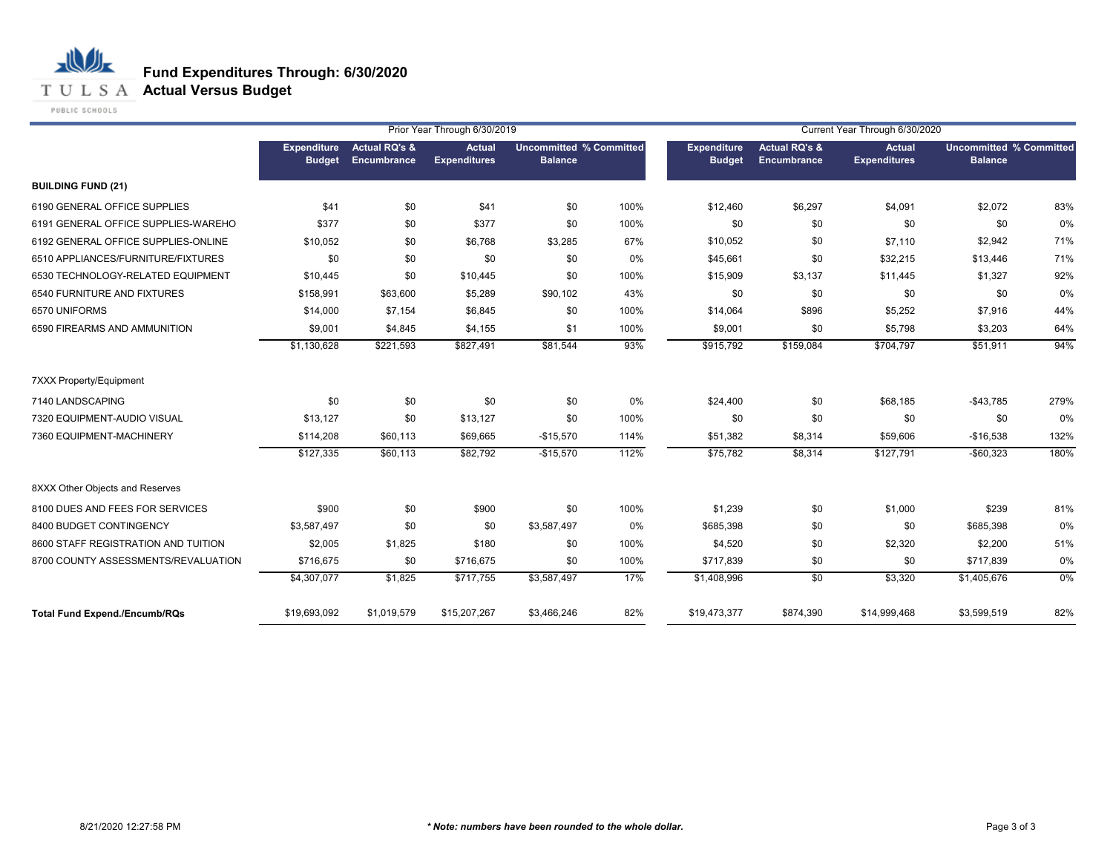**T U L S A Actual Versus Budget** 

PUBLIC SCHOOLS

|                                      |                                     |                                         | Prior Year Through 6/30/2019         |                                                  |      | Current Year Through 6/30/2020 |                                         |                               |                                                  |      |
|--------------------------------------|-------------------------------------|-----------------------------------------|--------------------------------------|--------------------------------------------------|------|--------------------------------|-----------------------------------------|-------------------------------|--------------------------------------------------|------|
|                                      | <b>Expenditure</b><br><b>Budget</b> | <b>Actual RQ's &amp;</b><br>Encumbrance | <b>Actual</b><br><b>Expenditures</b> | <b>Uncommitted % Committed</b><br><b>Balance</b> |      | Expenditure<br><b>Budget</b>   | <b>Actual RQ's &amp;</b><br>Encumbrance | Actual<br><b>Expenditures</b> | <b>Uncommitted % Committed</b><br><b>Balance</b> |      |
| <b>BUILDING FUND (21)</b>            |                                     |                                         |                                      |                                                  |      |                                |                                         |                               |                                                  |      |
| 6190 GENERAL OFFICE SUPPLIES         | \$41                                | \$0                                     | \$41                                 | \$0                                              | 100% | \$12,460                       | \$6,297                                 | \$4,091                       | \$2,072                                          | 83%  |
| 6191 GENERAL OFFICE SUPPLIES-WAREHO  | \$377                               | \$0                                     | \$377                                | \$0                                              | 100% | \$0                            | \$0                                     | \$0                           | \$0                                              | 0%   |
| 6192 GENERAL OFFICE SUPPLIES-ONLINE  | \$10,052                            | \$0                                     | \$6,768                              | \$3,285                                          | 67%  | \$10,052                       | \$0                                     | \$7,110                       | \$2,942                                          | 71%  |
| 6510 APPLIANCES/FURNITURE/FIXTURES   | \$0                                 | \$0                                     | \$0                                  | \$0                                              | 0%   | \$45,661                       | \$0                                     | \$32,215                      | \$13,446                                         | 71%  |
| 6530 TECHNOLOGY-RELATED EQUIPMENT    | \$10,445                            | \$0                                     | \$10,445                             | \$0                                              | 100% | \$15,909                       | \$3,137                                 | \$11,445                      | \$1,327                                          | 92%  |
| 6540 FURNITURE AND FIXTURES          | \$158,991                           | \$63,600                                | \$5,289                              | \$90,102                                         | 43%  | \$0                            | \$0                                     | \$0                           | \$0                                              | 0%   |
| 6570 UNIFORMS                        | \$14,000                            | \$7,154                                 | \$6,845                              | \$0                                              | 100% | \$14,064                       | \$896                                   | \$5,252                       | \$7,916                                          | 44%  |
| 6590 FIREARMS AND AMMUNITION         | \$9,001                             | \$4,845                                 | \$4,155                              | \$1                                              | 100% | \$9,001                        | \$0                                     | \$5,798                       | \$3,203                                          | 64%  |
|                                      | \$1,130,628                         | \$221,593                               | \$827,491                            | \$81,544                                         | 93%  | \$915,792                      | \$159,084                               | \$704,797                     | \$51,911                                         | 94%  |
| 7XXX Property/Equipment              |                                     |                                         |                                      |                                                  |      |                                |                                         |                               |                                                  |      |
| 7140 LANDSCAPING                     | \$0                                 | \$0                                     | \$0                                  | \$0                                              | 0%   | \$24,400                       | \$0                                     | \$68,185                      | $-$43,785$                                       | 279% |
| 7320 EQUIPMENT-AUDIO VISUAL          | \$13,127                            | \$0                                     | \$13,127                             | \$0                                              | 100% | \$0                            | \$0                                     | \$0                           | \$0                                              | 0%   |
| 7360 EQUIPMENT-MACHINERY             | \$114,208                           | \$60,113                                | \$69,665                             | $-$15,570$                                       | 114% | \$51,382                       | \$8,314                                 | \$59,606                      | $-$16,538$                                       | 132% |
|                                      | \$127,335                           | \$60,113                                | \$82,792                             | $-$15,570$                                       | 112% | \$75,782                       | \$8,314                                 | \$127,791                     | $-$60,323$                                       | 180% |
| 8XXX Other Objects and Reserves      |                                     |                                         |                                      |                                                  |      |                                |                                         |                               |                                                  |      |
| 8100 DUES AND FEES FOR SERVICES      | \$900                               | \$0                                     | \$900                                | \$0                                              | 100% | \$1,239                        | \$0                                     | \$1,000                       | \$239                                            | 81%  |
| 8400 BUDGET CONTINGENCY              | \$3,587,497                         | \$0                                     | \$0                                  | \$3,587,497                                      | 0%   | \$685,398                      | \$0                                     | \$0                           | \$685,398                                        | 0%   |
| 8600 STAFF REGISTRATION AND TUITION  | \$2,005                             | \$1,825                                 | \$180                                | \$0                                              | 100% | \$4,520                        | \$0                                     | \$2,320                       | \$2,200                                          | 51%  |
| 8700 COUNTY ASSESSMENTS/REVALUATION  | \$716,675                           | \$0                                     | \$716,675                            | \$0                                              | 100% | \$717,839                      | \$0                                     | \$0                           | \$717,839                                        | 0%   |
|                                      | \$4,307,077                         | \$1,825                                 | \$717,755                            | \$3,587,497                                      | 17%  | \$1,408,996                    | $\sqrt{6}$                              | \$3,320                       | \$1,405,676                                      | 0%   |
| <b>Total Fund Expend./Encumb/RQs</b> | \$19,693,092                        | \$1,019,579                             | \$15,207,267                         | \$3,466,246                                      | 82%  | \$19,473,377                   | \$874,390                               | \$14,999,468                  | \$3,599,519                                      | 82%  |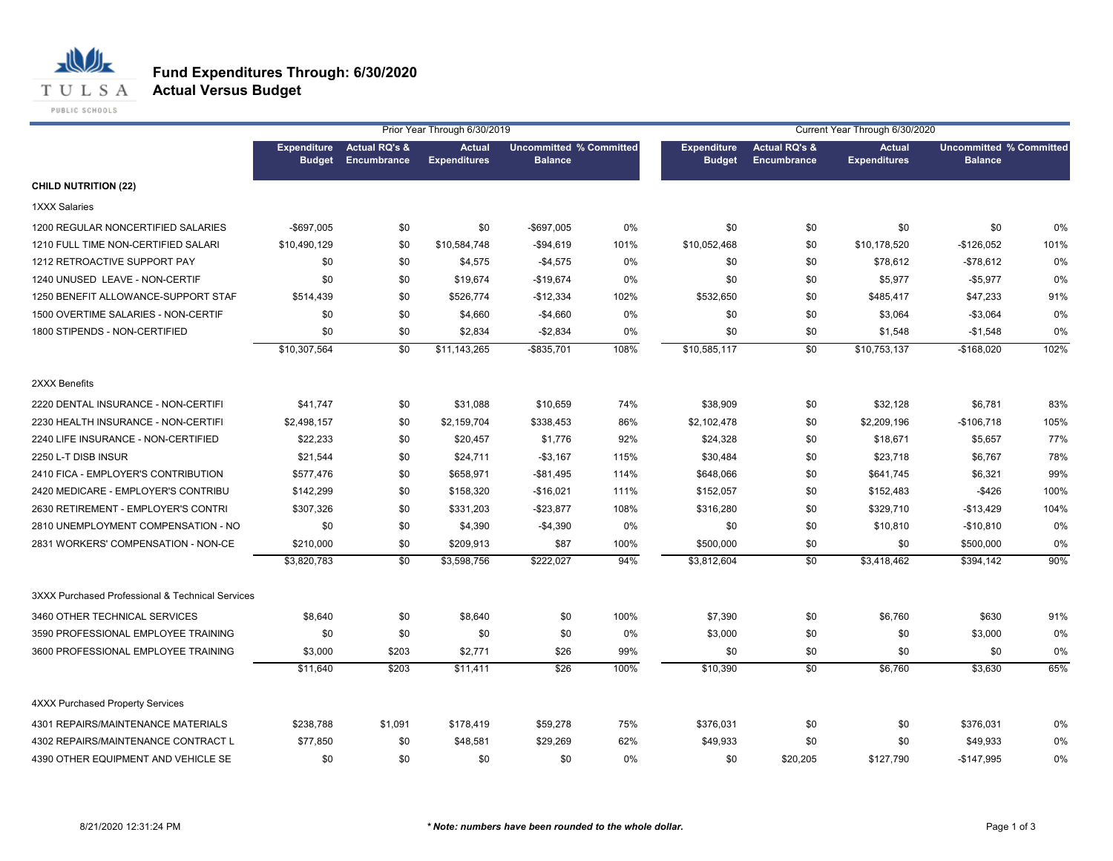

#### **Fund Expenditures Through: 6/30/2020 Actual Versus Budget**

|                                                  |                                     |                                         | Prior Year Through 6/30/2019         |                                                  |       | Current Year Through 6/30/2020      |                                         |                                      |                                                  |      |
|--------------------------------------------------|-------------------------------------|-----------------------------------------|--------------------------------------|--------------------------------------------------|-------|-------------------------------------|-----------------------------------------|--------------------------------------|--------------------------------------------------|------|
|                                                  | <b>Expenditure</b><br><b>Budget</b> | <b>Actual RQ's &amp;</b><br>Encumbrance | <b>Actual</b><br><b>Expenditures</b> | <b>Uncommitted % Committed</b><br><b>Balance</b> |       | <b>Expenditure</b><br><b>Budget</b> | <b>Actual RQ's &amp;</b><br>Encumbrance | <b>Actual</b><br><b>Expenditures</b> | <b>Uncommitted % Committed</b><br><b>Balance</b> |      |
| <b>CHILD NUTRITION (22)</b>                      |                                     |                                         |                                      |                                                  |       |                                     |                                         |                                      |                                                  |      |
| 1XXX Salaries                                    |                                     |                                         |                                      |                                                  |       |                                     |                                         |                                      |                                                  |      |
| 1200 REGULAR NONCERTIFIED SALARIES               | $-$697,005$                         | \$0                                     | \$0                                  | -\$697,005                                       | 0%    | \$0                                 | \$0                                     | \$0                                  | \$0                                              | 0%   |
| 1210 FULL TIME NON-CERTIFIED SALARI              | \$10,490,129                        | \$0                                     | \$10,584,748                         | $-$94,619$                                       | 101%  | \$10,052,468                        | \$0                                     | \$10,178,520                         | $-$126,052$                                      | 101% |
| 1212 RETROACTIVE SUPPORT PAY                     | \$0                                 | \$0                                     | \$4,575                              | $-$4,575$                                        | 0%    | \$0                                 | \$0                                     | \$78,612                             | $-$78,612$                                       | 0%   |
| 1240 UNUSED LEAVE - NON-CERTIF                   | \$0                                 | \$0                                     | \$19,674                             | $-$19,674$                                       | 0%    | \$0                                 | \$0                                     | \$5,977                              | $-$5,977$                                        | 0%   |
| 1250 BENEFIT ALLOWANCE-SUPPORT STAF              | \$514,439                           | \$0                                     | \$526,774                            | $-$12,334$                                       | 102%  | \$532,650                           | \$0                                     | \$485,417                            | \$47,233                                         | 91%  |
| 1500 OVERTIME SALARIES - NON-CERTIF              | \$0                                 | \$0                                     | \$4,660                              | $-$4,660$                                        | $0\%$ | \$0                                 | \$0                                     | \$3,064                              | $-$3,064$                                        | 0%   |
| 1800 STIPENDS - NON-CERTIFIED                    | \$0                                 | \$0                                     | \$2,834                              | $-$2,834$                                        | 0%    | \$0                                 | \$0                                     | \$1,548                              | $-$1,548$                                        | 0%   |
|                                                  | \$10,307,564                        | \$0                                     | \$11,143,265                         | -\$835,701                                       | 108%  | \$10,585,117                        | \$0                                     | \$10,753,137                         | $-$168,020$                                      | 102% |
| 2XXX Benefits                                    |                                     |                                         |                                      |                                                  |       |                                     |                                         |                                      |                                                  |      |
| 2220 DENTAL INSURANCE - NON-CERTIFI              | \$41,747                            | \$0                                     | \$31,088                             | \$10,659                                         | 74%   | \$38,909                            | \$0                                     | \$32,128                             | \$6,781                                          | 83%  |
| 2230 HEALTH INSURANCE - NON-CERTIFI              | \$2,498,157                         | \$0                                     | \$2,159,704                          | \$338,453                                        | 86%   | \$2,102,478                         | \$0                                     | \$2,209,196                          | $-$106,718$                                      | 105% |
| 2240 LIFE INSURANCE - NON-CERTIFIED              | \$22,233                            | \$0                                     | \$20,457                             | \$1,776                                          | 92%   | \$24,328                            | \$0                                     | \$18,671                             | \$5,657                                          | 77%  |
| 2250 L-T DISB INSUR                              | \$21,544                            | \$0                                     | \$24,711                             | $-$3,167$                                        | 115%  | \$30,484                            | \$0                                     | \$23,718                             | \$6,767                                          | 78%  |
| 2410 FICA - EMPLOYER'S CONTRIBUTION              | \$577,476                           | \$0                                     | \$658,971                            | $-$ \$81,495                                     | 114%  | \$648,066                           | \$0                                     | \$641,745                            | \$6,321                                          | 99%  |
| 2420 MEDICARE - EMPLOYER'S CONTRIBU              | \$142,299                           | \$0                                     | \$158,320                            | $-$16,021$                                       | 111%  | \$152,057                           | \$0                                     | \$152,483                            | $-$426$                                          | 100% |
| 2630 RETIREMENT - EMPLOYER'S CONTRI              | \$307,326                           | \$0                                     | \$331,203                            | $-$23,877$                                       | 108%  | \$316,280                           | \$0                                     | \$329,710                            | $-$13,429$                                       | 104% |
| 2810 UNEMPLOYMENT COMPENSATION - NO              | \$0                                 | \$0                                     | \$4,390                              | $-$4,390$                                        | 0%    | \$0                                 | \$0                                     | \$10,810                             | $-$10,810$                                       | 0%   |
| 2831 WORKERS' COMPENSATION - NON-CE              | \$210,000                           | \$0                                     | \$209,913                            | \$87                                             | 100%  | \$500,000                           | \$0                                     | \$0                                  | \$500,000                                        | 0%   |
|                                                  | \$3,820,783                         | \$0                                     | \$3,598,756                          | \$222,027                                        | 94%   | \$3,812,604                         | \$0                                     | \$3,418,462                          | \$394,142                                        | 90%  |
| 3XXX Purchased Professional & Technical Services |                                     |                                         |                                      |                                                  |       |                                     |                                         |                                      |                                                  |      |
| 3460 OTHER TECHNICAL SERVICES                    | \$8,640                             | \$0                                     | \$8,640                              | \$0                                              | 100%  | \$7,390                             | \$0                                     | \$6,760                              | \$630                                            | 91%  |
| 3590 PROFESSIONAL EMPLOYEE TRAINING              | \$0                                 | \$0                                     | \$0                                  | \$0                                              | 0%    | \$3,000                             | \$0                                     | \$0                                  | \$3,000                                          | 0%   |
| 3600 PROFESSIONAL EMPLOYEE TRAINING              | \$3,000                             | \$203                                   | \$2,771                              | \$26                                             | 99%   | \$0                                 | \$0                                     | \$0                                  | \$0                                              | 0%   |
|                                                  | \$11,640                            | \$203                                   | \$11,411                             | \$26                                             | 100%  | \$10,390                            | \$0                                     | \$6,760                              | \$3,630                                          | 65%  |
| <b>4XXX Purchased Property Services</b>          |                                     |                                         |                                      |                                                  |       |                                     |                                         |                                      |                                                  |      |
| 4301 REPAIRS/MAINTENANCE MATERIALS               | \$238,788                           | \$1,091                                 | \$178,419                            | \$59,278                                         | 75%   | \$376,031                           | \$0                                     | \$0                                  | \$376,031                                        | 0%   |
| 4302 REPAIRS/MAINTENANCE CONTRACT L              | \$77,850                            | \$0                                     | \$48,581                             | \$29,269                                         | 62%   | \$49,933                            | \$0                                     | \$0                                  | \$49,933                                         | 0%   |
| 4390 OTHER EQUIPMENT AND VEHICLE SE              | \$0                                 | \$0                                     | \$0                                  | \$0                                              | 0%    | \$0                                 | \$20,205                                | \$127,790                            | $-$147,995$                                      | 0%   |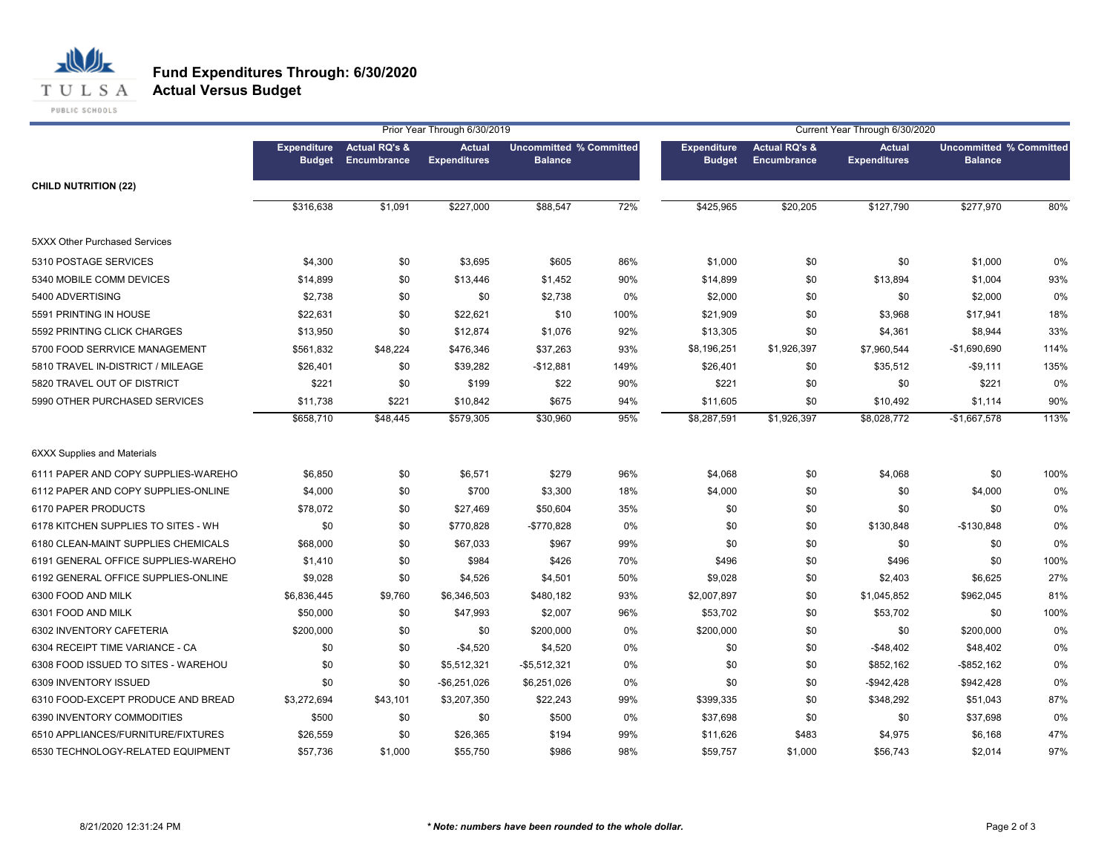

**Actual Versus Budget**

|                                      |                                     |                                         | Prior Year Through 6/30/2019         |                |                                |                                     |                                                | Current Year Through 6/30/2020       |                                                  |      |
|--------------------------------------|-------------------------------------|-----------------------------------------|--------------------------------------|----------------|--------------------------------|-------------------------------------|------------------------------------------------|--------------------------------------|--------------------------------------------------|------|
|                                      | <b>Expenditure</b><br><b>Budget</b> | <b>Actual RQ's &amp;</b><br>Encumbrance | <b>Actual</b><br><b>Expenditures</b> | <b>Balance</b> | <b>Uncommitted % Committed</b> | <b>Expenditure</b><br><b>Budget</b> | <b>Actual RQ's &amp;</b><br><b>Encumbrance</b> | <b>Actual</b><br><b>Expenditures</b> | <b>Uncommitted % Committed</b><br><b>Balance</b> |      |
| <b>CHILD NUTRITION (22)</b>          |                                     |                                         |                                      |                |                                |                                     |                                                |                                      |                                                  |      |
|                                      | \$316,638                           | \$1,091                                 | \$227,000                            | \$88,547       | 72%                            | \$425,965                           | \$20,205                                       | \$127,790                            | \$277,970                                        | 80%  |
| <b>5XXX Other Purchased Services</b> |                                     |                                         |                                      |                |                                |                                     |                                                |                                      |                                                  |      |
| 5310 POSTAGE SERVICES                | \$4,300                             | \$0                                     | \$3,695                              | \$605          | 86%                            | \$1,000                             | \$0                                            | \$0                                  | \$1,000                                          | 0%   |
| 5340 MOBILE COMM DEVICES             | \$14,899                            | \$0                                     | \$13,446                             | \$1,452        | 90%                            | \$14,899                            | \$0                                            | \$13,894                             | \$1,004                                          | 93%  |
| 5400 ADVERTISING                     | \$2,738                             | \$0                                     | \$0                                  | \$2,738        | 0%                             | \$2,000                             | \$0                                            | \$0                                  | \$2,000                                          | 0%   |
| 5591 PRINTING IN HOUSE               | \$22,631                            | \$0                                     | \$22,621                             | \$10           | 100%                           | \$21,909                            | \$0                                            | \$3,968                              | \$17,941                                         | 18%  |
| 5592 PRINTING CLICK CHARGES          | \$13,950                            | \$0                                     | \$12,874                             | \$1,076        | 92%                            | \$13,305                            | \$0                                            | \$4,361                              | \$8,944                                          | 33%  |
| 5700 FOOD SERRVICE MANAGEMENT        | \$561,832                           | \$48,224                                | \$476,346                            | \$37,263       | 93%                            | \$8,196,251                         | \$1,926,397                                    | \$7,960,544                          | $-$1,690,690$                                    | 114% |
| 5810 TRAVEL IN-DISTRICT / MILEAGE    | \$26,401                            | \$0                                     | \$39,282                             | $-$12,881$     | 149%                           | \$26,401                            | \$0                                            | \$35,512                             | $-$9,111$                                        | 135% |
| 5820 TRAVEL OUT OF DISTRICT          | \$221                               | \$0                                     | \$199                                | \$22           | 90%                            | \$221                               | \$0                                            | \$0                                  | \$221                                            | 0%   |
| 5990 OTHER PURCHASED SERVICES        | \$11,738                            | \$221                                   | \$10,842                             | \$675          | 94%                            | \$11,605                            | \$0                                            | \$10,492                             | \$1,114                                          | 90%  |
|                                      | \$658,710                           | \$48,445                                | \$579,305                            | \$30,960       | 95%                            | \$8,287,591                         | \$1,926,397                                    | \$8,028,772                          | $-$1,667,578$                                    | 113% |
| <b>6XXX Supplies and Materials</b>   |                                     |                                         |                                      |                |                                |                                     |                                                |                                      |                                                  |      |
| 6111 PAPER AND COPY SUPPLIES-WAREHO  | \$6,850                             | \$0                                     | \$6,571                              | \$279          | 96%                            | \$4,068                             | \$0                                            | \$4,068                              | \$0                                              | 100% |
| 6112 PAPER AND COPY SUPPLIES-ONLINE  | \$4,000                             | \$0                                     | \$700                                | \$3,300        | 18%                            | \$4,000                             | \$0                                            | \$0                                  | \$4,000                                          | 0%   |
| 6170 PAPER PRODUCTS                  | \$78,072                            | \$0                                     | \$27,469                             | \$50,604       | 35%                            | \$0                                 | \$0                                            | \$0                                  | \$0                                              | 0%   |
| 6178 KITCHEN SUPPLIES TO SITES - WH  | \$0                                 | \$0                                     | \$770,828                            | $-$770,828$    | 0%                             | \$0                                 | \$0                                            | \$130,848                            | $-$130,848$                                      | 0%   |
| 6180 CLEAN-MAINT SUPPLIES CHEMICALS  | \$68,000                            | \$0                                     | \$67,033                             | \$967          | 99%                            | \$0                                 | \$0                                            | \$0                                  | \$0                                              | 0%   |
| 6191 GENERAL OFFICE SUPPLIES-WAREHO  | \$1,410                             | \$0                                     | \$984                                | \$426          | 70%                            | \$496                               | \$0                                            | \$496                                | \$0                                              | 100% |
| 6192 GENERAL OFFICE SUPPLIES-ONLINE  | \$9,028                             | \$0                                     | \$4,526                              | \$4,501        | 50%                            | \$9,028                             | \$0                                            | \$2,403                              | \$6,625                                          | 27%  |
| 6300 FOOD AND MILK                   | \$6,836,445                         | \$9,760                                 | \$6,346,503                          | \$480,182      | 93%                            | \$2,007,897                         | \$0                                            | \$1,045,852                          | \$962,045                                        | 81%  |
| 6301 FOOD AND MILK                   | \$50,000                            | \$0                                     | \$47,993                             | \$2,007        | 96%                            | \$53,702                            | \$0                                            | \$53,702                             | \$0                                              | 100% |
| 6302 INVENTORY CAFETERIA             | \$200,000                           | \$0                                     | \$0                                  | \$200,000      | 0%                             | \$200,000                           | \$0                                            | \$0                                  | \$200,000                                        | 0%   |
| 6304 RECEIPT TIME VARIANCE - CA      | \$0                                 | \$0                                     | $-$4,520$                            | \$4,520        | 0%                             | \$0                                 | \$0                                            | $-$48,402$                           | \$48,402                                         | 0%   |
| 6308 FOOD ISSUED TO SITES - WAREHOU  | \$0                                 | \$0                                     | \$5,512,321                          | $-$5,512,321$  | 0%                             | \$0                                 | \$0                                            | \$852,162                            | $-$ \$852,162                                    | 0%   |
| 6309 INVENTORY ISSUED                | \$0                                 | \$0                                     | $-$6,251,026$                        | \$6,251,026    | 0%                             | \$0                                 | \$0                                            | -\$942,428                           | \$942,428                                        | 0%   |
| 6310 FOOD-EXCEPT PRODUCE AND BREAD   | \$3,272,694                         | \$43,101                                | \$3,207,350                          | \$22,243       | 99%                            | \$399,335                           | \$0                                            | \$348,292                            | \$51,043                                         | 87%  |
| 6390 INVENTORY COMMODITIES           | \$500                               | \$0                                     | \$0                                  | \$500          | 0%                             | \$37,698                            | \$0                                            | \$0                                  | \$37,698                                         | 0%   |
| 6510 APPLIANCES/FURNITURE/FIXTURES   | \$26,559                            | \$0                                     | \$26,365                             | \$194          | 99%                            | \$11,626                            | \$483                                          | \$4,975                              | \$6,168                                          | 47%  |
| 6530 TECHNOLOGY-RELATED EQUIPMENT    | \$57,736                            | \$1,000                                 | \$55,750                             | \$986          | 98%                            | \$59,757                            | \$1,000                                        | \$56,743                             | \$2,014                                          | 97%  |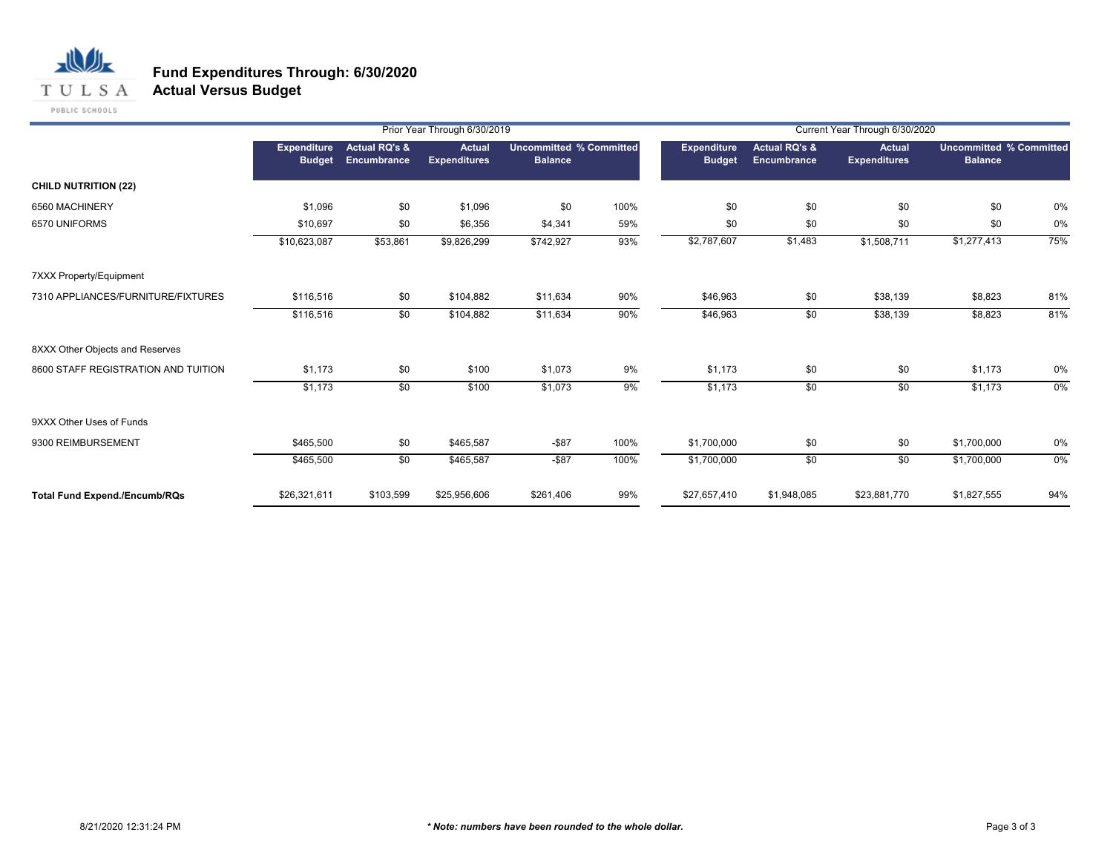

**Actual Versus Budget**

|                                      |                                     |                                         | Prior Year Through 6/30/2019         |                |                                | Current Year Through 6/30/2020 |                                         |                                      |                                                  |       |  |
|--------------------------------------|-------------------------------------|-----------------------------------------|--------------------------------------|----------------|--------------------------------|--------------------------------|-----------------------------------------|--------------------------------------|--------------------------------------------------|-------|--|
|                                      | <b>Expenditure</b><br><b>Budget</b> | <b>Actual RQ's &amp;</b><br>Encumbrance | <b>Actual</b><br><b>Expenditures</b> | <b>Balance</b> | <b>Uncommitted % Committed</b> | Expenditure<br><b>Budget</b>   | <b>Actual RQ's &amp;</b><br>Encumbrance | <b>Actual</b><br><b>Expenditures</b> | <b>Uncommitted % Committed</b><br><b>Balance</b> |       |  |
| <b>CHILD NUTRITION (22)</b>          |                                     |                                         |                                      |                |                                |                                |                                         |                                      |                                                  |       |  |
| 6560 MACHINERY                       | \$1,096                             | \$0                                     | \$1,096                              | \$0            | 100%                           | \$0                            | \$0                                     | \$0                                  | \$0                                              | 0%    |  |
| 6570 UNIFORMS                        | \$10,697                            | \$0                                     | \$6,356                              | \$4,341        | 59%                            | \$0                            | \$0                                     | \$0                                  | \$0                                              | 0%    |  |
|                                      | \$10,623,087                        | \$53,861                                | \$9,826,299                          | \$742,927      | 93%                            | \$2,787,607                    | \$1,483                                 | \$1,508,711                          | \$1,277,413                                      | 75%   |  |
| 7XXX Property/Equipment              |                                     |                                         |                                      |                |                                |                                |                                         |                                      |                                                  |       |  |
| 7310 APPLIANCES/FURNITURE/FIXTURES   | \$116,516                           | \$0                                     | \$104,882                            | \$11,634       | 90%                            | \$46,963                       | \$0                                     | \$38,139                             | \$8,823                                          | 81%   |  |
|                                      | \$116,516                           | $\overline{50}$                         | \$104,882                            | \$11,634       | 90%                            | \$46,963                       | \$0                                     | \$38,139                             | \$8,823                                          | 81%   |  |
| 8XXX Other Objects and Reserves      |                                     |                                         |                                      |                |                                |                                |                                         |                                      |                                                  |       |  |
| 8600 STAFF REGISTRATION AND TUITION  | \$1,173                             | \$0                                     | \$100                                | \$1,073        | 9%                             | \$1,173                        | \$0                                     | \$0                                  | \$1,173                                          | 0%    |  |
|                                      | \$1,173                             | $\overline{50}$                         | \$100                                | \$1,073        | 9%                             | \$1,173                        | \$0                                     | \$0                                  | \$1,173                                          | $0\%$ |  |
| 9XXX Other Uses of Funds             |                                     |                                         |                                      |                |                                |                                |                                         |                                      |                                                  |       |  |
| 9300 REIMBURSEMENT                   | \$465,500                           | \$0                                     | \$465,587                            | $-$ \$87       | 100%                           | \$1,700,000                    | \$0                                     | \$0                                  | \$1,700,000                                      | 0%    |  |
|                                      | \$465,500                           | $\overline{50}$                         | \$465,587                            | $-$ \$87       | 100%                           | \$1,700,000                    | \$0                                     | \$0                                  | \$1,700,000                                      | $0\%$ |  |
| <b>Total Fund Expend./Encumb/RQs</b> | \$26,321,611                        | \$103,599                               | \$25,956,606                         | \$261,406      | 99%                            | \$27,657,410                   | \$1,948,085                             | \$23,881,770                         | \$1,827,555                                      | 94%   |  |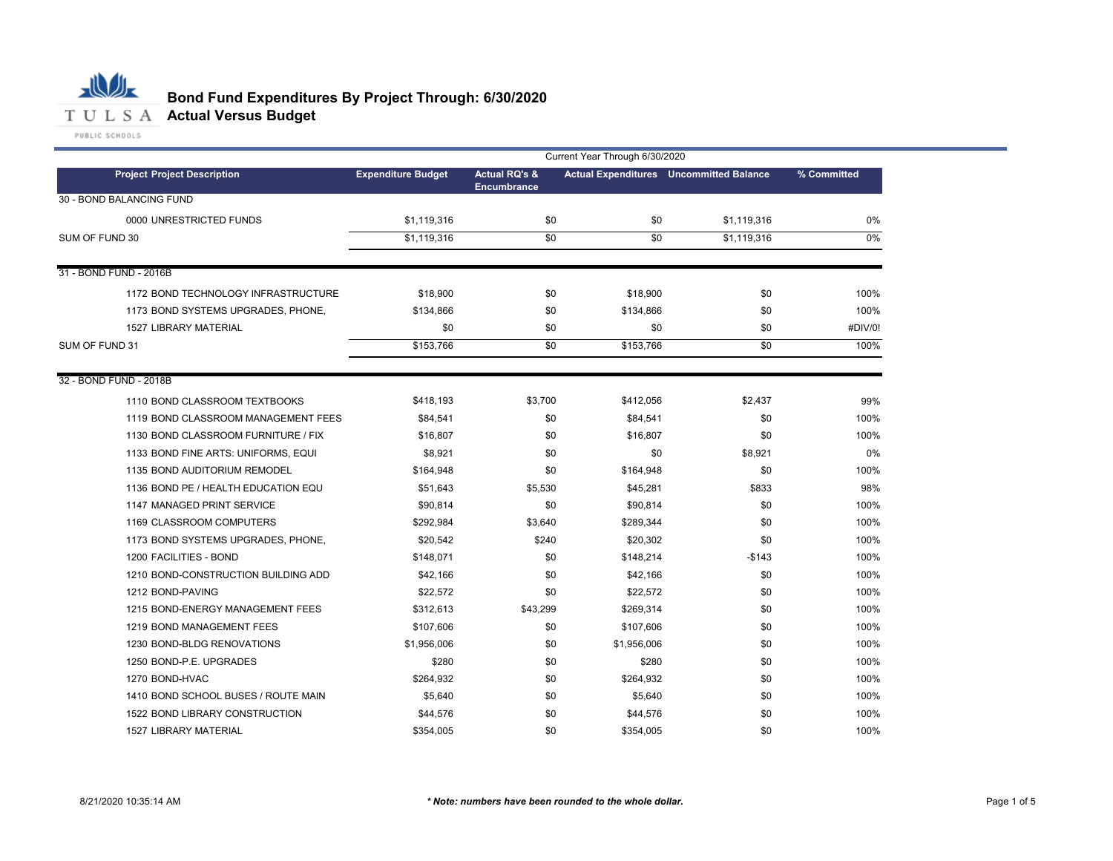

# **Bond Fund Expenditures By Project Through: 6/30/2020**

|                                     | Current Year Through 6/30/2020 |                          |             |                                                |             |  |  |
|-------------------------------------|--------------------------------|--------------------------|-------------|------------------------------------------------|-------------|--|--|
| <b>Project Project Description</b>  | <b>Expenditure Budget</b>      | <b>Actual RQ's &amp;</b> |             | <b>Actual Expenditures</b> Uncommitted Balance | % Committed |  |  |
| 30 - BOND BALANCING FUND            |                                | <b>Encumbrance</b>       |             |                                                |             |  |  |
| 0000 UNRESTRICTED FUNDS             | \$1,119,316                    | \$0                      | \$0         | \$1,119,316                                    | 0%          |  |  |
| SUM OF FUND 30                      | \$1,119,316                    | \$0                      | \$0         | \$1,119,316                                    | 0%          |  |  |
|                                     |                                |                          |             |                                                |             |  |  |
| 31 - BOND FUND - 2016B              |                                |                          |             |                                                |             |  |  |
| 1172 BOND TECHNOLOGY INFRASTRUCTURE | \$18,900                       | \$0                      | \$18,900    | \$0                                            | 100%        |  |  |
| 1173 BOND SYSTEMS UPGRADES, PHONE,  | \$134,866                      | \$0                      | \$134,866   | \$0                                            | 100%        |  |  |
| <b>1527 LIBRARY MATERIAL</b>        | \$0                            | \$0                      | \$0         | \$0                                            | #DIV/0!     |  |  |
| SUM OF FUND 31                      | \$153,766                      | \$0                      | \$153,766   | \$0                                            | 100%        |  |  |
|                                     |                                |                          |             |                                                |             |  |  |
| 32 - BOND FUND - 2018B              |                                |                          |             |                                                |             |  |  |
| 1110 BOND CLASSROOM TEXTBOOKS       | \$418,193                      | \$3,700                  | \$412,056   | \$2,437                                        | 99%         |  |  |
| 1119 BOND CLASSROOM MANAGEMENT FEES | \$84,541                       | \$0                      | \$84,541    | \$0                                            | 100%        |  |  |
| 1130 BOND CLASSROOM FURNITURE / FIX | \$16,807                       | \$0                      | \$16,807    | \$0                                            | 100%        |  |  |
| 1133 BOND FINE ARTS: UNIFORMS, EQUI | \$8,921                        | \$0                      | \$0         | \$8,921                                        | 0%          |  |  |
| 1135 BOND AUDITORIUM REMODEL        | \$164,948                      | \$0                      | \$164,948   | \$0                                            | 100%        |  |  |
| 1136 BOND PE / HEALTH EDUCATION EQU | \$51,643                       | \$5,530                  | \$45,281    | \$833                                          | 98%         |  |  |
| 1147 MANAGED PRINT SERVICE          | \$90,814                       | \$0                      | \$90,814    | \$0                                            | 100%        |  |  |
| 1169 CLASSROOM COMPUTERS            | \$292,984                      | \$3,640                  | \$289,344   | \$0                                            | 100%        |  |  |
| 1173 BOND SYSTEMS UPGRADES, PHONE,  | \$20,542                       | \$240                    | \$20,302    | \$0                                            | 100%        |  |  |
| 1200 FACILITIES - BOND              | \$148,071                      | \$0                      | \$148,214   | $-$143$                                        | 100%        |  |  |
| 1210 BOND-CONSTRUCTION BUILDING ADD | \$42,166                       | \$0                      | \$42,166    | \$0                                            | 100%        |  |  |
| 1212 BOND-PAVING                    | \$22,572                       | \$0                      | \$22,572    | \$0                                            | 100%        |  |  |
| 1215 BOND-ENERGY MANAGEMENT FEES    | \$312,613                      | \$43,299                 | \$269,314   | \$0                                            | 100%        |  |  |
| 1219 BOND MANAGEMENT FEES           | \$107,606                      | \$0                      | \$107,606   | \$0                                            | 100%        |  |  |
| 1230 BOND-BLDG RENOVATIONS          | \$1,956,006                    | \$0                      | \$1,956,006 | \$0                                            | 100%        |  |  |
| 1250 BOND-P.E. UPGRADES             | \$280                          | \$0                      | \$280       | \$0                                            | 100%        |  |  |
| 1270 BOND-HVAC                      | \$264,932                      | \$0                      | \$264,932   | \$0                                            | 100%        |  |  |
| 1410 BOND SCHOOL BUSES / ROUTE MAIN | \$5,640                        | \$0                      | \$5,640     | \$0                                            | 100%        |  |  |
| 1522 BOND LIBRARY CONSTRUCTION      | \$44,576                       | \$0                      | \$44,576    | \$0                                            | 100%        |  |  |
| <b>1527 LIBRARY MATERIAL</b>        | \$354.005                      | \$0                      | \$354.005   | \$0                                            | 100%        |  |  |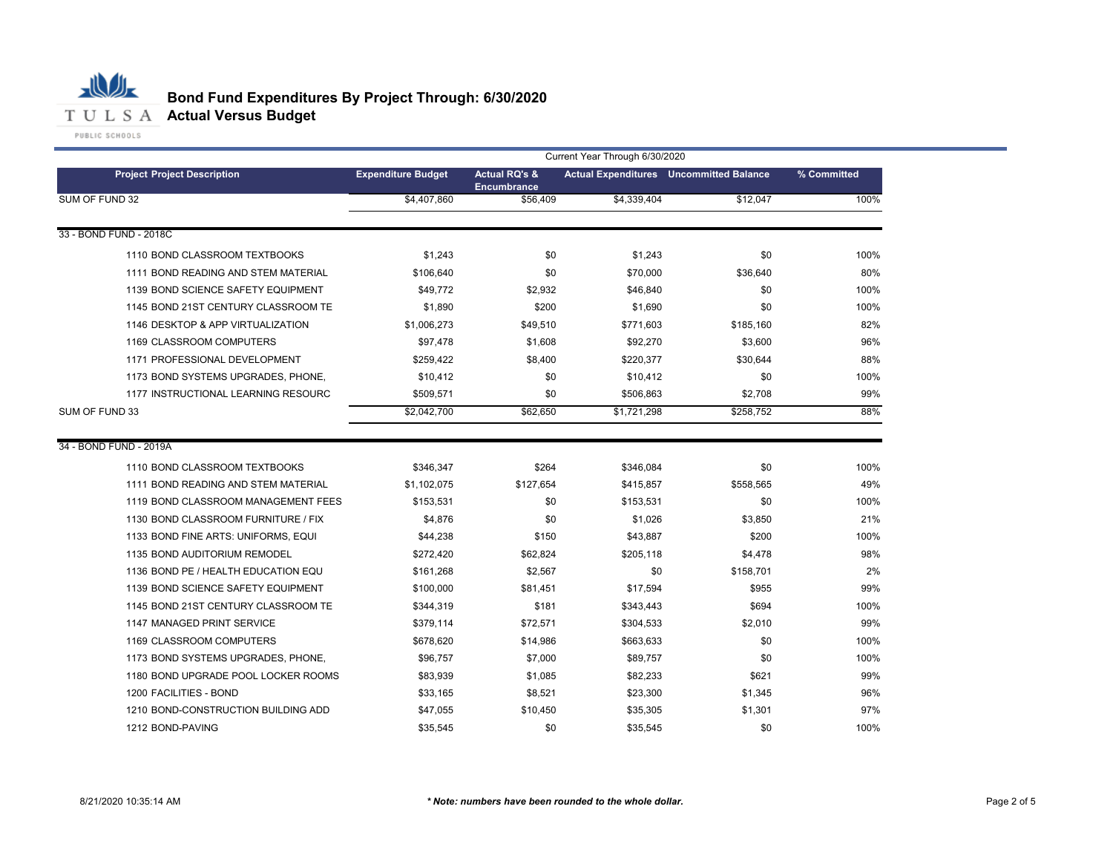

|                                     | Current Year Through 6/30/2020 |                                                |             |                                                |             |  |  |
|-------------------------------------|--------------------------------|------------------------------------------------|-------------|------------------------------------------------|-------------|--|--|
| <b>Project Project Description</b>  | <b>Expenditure Budget</b>      | <b>Actual RQ's &amp;</b><br><b>Encumbrance</b> |             | <b>Actual Expenditures</b> Uncommitted Balance | % Committed |  |  |
| SUM OF FUND 32                      | \$4,407.860                    | \$56,409                                       | \$4.339.404 | \$12.047                                       | 100%        |  |  |
|                                     |                                |                                                |             |                                                |             |  |  |
| 33 - BOND FUND - 2018C              |                                |                                                |             |                                                |             |  |  |
| 1110 BOND CLASSROOM TEXTBOOKS       | \$1,243                        | \$0                                            | \$1,243     | \$0                                            | 100%        |  |  |
| 1111 BOND READING AND STEM MATERIAL | \$106,640                      | \$0                                            | \$70,000    | \$36,640                                       | 80%         |  |  |
| 1139 BOND SCIENCE SAFETY EQUIPMENT  | \$49,772                       | \$2,932                                        | \$46,840    | \$0                                            | 100%        |  |  |
| 1145 BOND 21ST CENTURY CLASSROOM TE | \$1,890                        | \$200                                          | \$1,690     | \$0                                            | 100%        |  |  |
| 1146 DESKTOP & APP VIRTUALIZATION   | \$1,006,273                    | \$49,510                                       | \$771,603   | \$185,160                                      | 82%         |  |  |
| 1169 CLASSROOM COMPUTERS            | \$97,478                       | \$1,608                                        | \$92,270    | \$3,600                                        | 96%         |  |  |
| 1171 PROFESSIONAL DEVELOPMENT       | \$259,422                      | \$8,400                                        | \$220,377   | \$30,644                                       | 88%         |  |  |
| 1173 BOND SYSTEMS UPGRADES, PHONE,  | \$10,412                       | \$0                                            | \$10,412    | \$0                                            | 100%        |  |  |
| 1177 INSTRUCTIONAL LEARNING RESOURC | \$509.571                      | \$0                                            | \$506,863   | \$2,708                                        | 99%         |  |  |
| SUM OF FUND 33                      | \$2,042,700                    | \$62,650                                       | \$1,721,298 | \$258,752                                      | 88%         |  |  |
| 34 - BOND FUND - 2019A              |                                |                                                |             |                                                |             |  |  |
| 1110 BOND CLASSROOM TEXTBOOKS       | \$346,347                      | \$264                                          | \$346,084   | \$0                                            | 100%        |  |  |
| 1111 BOND READING AND STEM MATERIAL | \$1,102,075                    | \$127,654                                      | \$415,857   | \$558,565                                      | 49%         |  |  |
| 1119 BOND CLASSROOM MANAGEMENT FEES | \$153,531                      | \$0                                            | \$153,531   | \$0                                            | 100%        |  |  |
| 1130 BOND CLASSROOM FURNITURE / FIX | \$4,876                        | \$0                                            | \$1,026     | \$3,850                                        | 21%         |  |  |
| 1133 BOND FINE ARTS: UNIFORMS, EQUI | \$44,238                       | \$150                                          | \$43,887    | \$200                                          | 100%        |  |  |
| 1135 BOND AUDITORIUM REMODEL        | \$272,420                      | \$62,824                                       | \$205,118   | \$4,478                                        | 98%         |  |  |
| 1136 BOND PE / HEALTH EDUCATION EQU | \$161,268                      | \$2,567                                        | \$0         | \$158,701                                      | 2%          |  |  |
| 1139 BOND SCIENCE SAFETY EQUIPMENT  | \$100,000                      | \$81,451                                       | \$17,594    | \$955                                          | 99%         |  |  |
| 1145 BOND 21ST CENTURY CLASSROOM TE | \$344,319                      | \$181                                          | \$343,443   | \$694                                          | 100%        |  |  |
| 1147 MANAGED PRINT SERVICE          | \$379,114                      | \$72,571                                       | \$304,533   | \$2,010                                        | 99%         |  |  |
| 1169 CLASSROOM COMPUTERS            | \$678,620                      | \$14,986                                       | \$663,633   | \$0                                            | 100%        |  |  |
| 1173 BOND SYSTEMS UPGRADES, PHONE,  | \$96,757                       | \$7,000                                        | \$89,757    | \$0                                            | 100%        |  |  |
| 1180 BOND UPGRADE POOL LOCKER ROOMS | \$83,939                       | \$1,085                                        | \$82,233    | \$621                                          | 99%         |  |  |
| 1200 FACILITIES - BOND              | \$33,165                       | \$8,521                                        | \$23,300    | \$1,345                                        | 96%         |  |  |
| 1210 BOND-CONSTRUCTION BUILDING ADD | \$47,055                       | \$10,450                                       | \$35,305    | \$1,301                                        | 97%         |  |  |
| 1212 BOND-PAVING                    | \$35.545                       | \$0                                            | \$35.545    | \$0                                            | 100%        |  |  |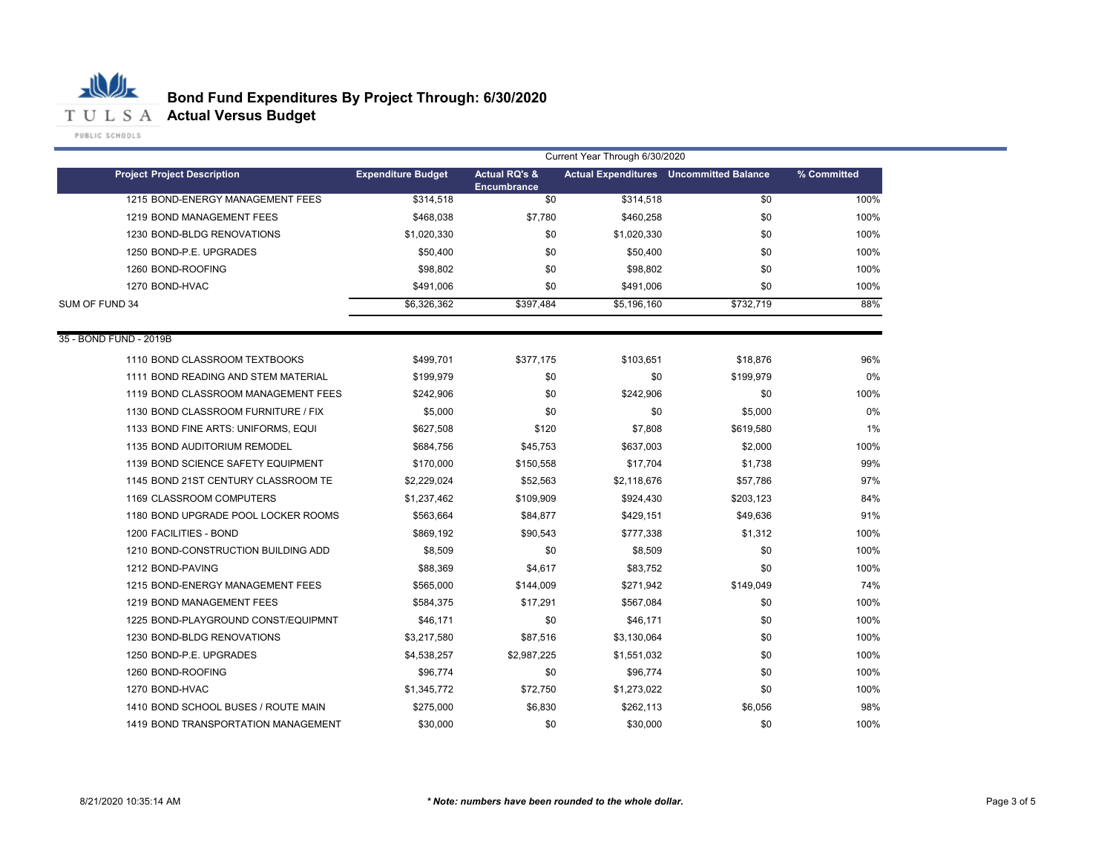

|                                     | Current Year Through 6/30/2020 |                                                |             |                                                |             |  |
|-------------------------------------|--------------------------------|------------------------------------------------|-------------|------------------------------------------------|-------------|--|
| <b>Project Project Description</b>  | <b>Expenditure Budget</b>      | <b>Actual RQ's &amp;</b><br><b>Encumbrance</b> |             | <b>Actual Expenditures</b> Uncommitted Balance | % Committed |  |
| 1215 BOND-ENERGY MANAGEMENT FEES    | \$314,518                      | \$0                                            | \$314,518   | \$0                                            | 100%        |  |
| 1219 BOND MANAGEMENT FEES           | \$468,038                      | \$7,780                                        | \$460,258   | \$0                                            | 100%        |  |
| 1230 BOND-BLDG RENOVATIONS          | \$1,020,330                    | \$0                                            | \$1,020,330 | \$0                                            | 100%        |  |
| 1250 BOND-P.E. UPGRADES             | \$50,400                       | \$0                                            | \$50,400    | \$0                                            | 100%        |  |
| 1260 BOND-ROOFING                   | \$98,802                       | \$0                                            | \$98,802    | \$0                                            | 100%        |  |
| 1270 BOND-HVAC                      | \$491,006                      | \$0                                            | \$491,006   | \$0                                            | 100%        |  |
| SUM OF FUND 34                      | \$6,326,362                    | \$397,484                                      | \$5,196,160 | \$732,719                                      | 88%         |  |
| 35 - BOND FUND - 2019B              |                                |                                                |             |                                                |             |  |
| 1110 BOND CLASSROOM TEXTBOOKS       | \$499,701                      | \$377,175                                      | \$103,651   | \$18,876                                       | 96%         |  |
| 1111 BOND READING AND STEM MATERIAL | \$199,979                      | \$0                                            | \$0         | \$199,979                                      | 0%          |  |
| 1119 BOND CLASSROOM MANAGEMENT FEES | \$242,906                      | \$0                                            | \$242,906   | \$0                                            | 100%        |  |
| 1130 BOND CLASSROOM FURNITURE / FIX | \$5,000                        | \$0                                            | \$0         | \$5,000                                        | 0%          |  |
| 1133 BOND FINE ARTS: UNIFORMS, EQUI | \$627,508                      | \$120                                          | \$7,808     | \$619,580                                      | 1%          |  |
| 1135 BOND AUDITORIUM REMODEL        | \$684,756                      | \$45,753                                       | \$637,003   | \$2,000                                        | 100%        |  |
| 1139 BOND SCIENCE SAFETY EQUIPMENT  | \$170,000                      | \$150,558                                      | \$17,704    | \$1,738                                        | 99%         |  |
| 1145 BOND 21ST CENTURY CLASSROOM TE | \$2,229,024                    | \$52,563                                       | \$2,118,676 | \$57,786                                       | 97%         |  |
| 1169 CLASSROOM COMPUTERS            | \$1,237,462                    | \$109,909                                      | \$924,430   | \$203,123                                      | 84%         |  |
| 1180 BOND UPGRADE POOL LOCKER ROOMS | \$563,664                      | \$84,877                                       | \$429,151   | \$49,636                                       | 91%         |  |
| 1200 FACILITIES - BOND              | \$869,192                      | \$90,543                                       | \$777,338   | \$1,312                                        | 100%        |  |
| 1210 BOND-CONSTRUCTION BUILDING ADD | \$8,509                        | \$0                                            | \$8,509     | \$0                                            | 100%        |  |
| 1212 BOND-PAVING                    | \$88,369                       | \$4,617                                        | \$83,752    | \$0                                            | 100%        |  |
| 1215 BOND-ENERGY MANAGEMENT FEES    | \$565,000                      | \$144,009                                      | \$271,942   | \$149,049                                      | 74%         |  |
| 1219 BOND MANAGEMENT FEES           | \$584,375                      | \$17,291                                       | \$567,084   | \$0                                            | 100%        |  |
| 1225 BOND-PLAYGROUND CONST/EQUIPMNT | \$46,171                       | \$0                                            | \$46,171    | \$0                                            | 100%        |  |
| 1230 BOND-BLDG RENOVATIONS          | \$3,217,580                    | \$87,516                                       | \$3,130,064 | \$0                                            | 100%        |  |
| 1250 BOND-P.E. UPGRADES             | \$4,538,257                    | \$2,987,225                                    | \$1,551,032 | \$0                                            | 100%        |  |
| 1260 BOND-ROOFING                   | \$96,774                       | \$0                                            | \$96,774    | \$0                                            | 100%        |  |
| 1270 BOND-HVAC                      | \$1,345,772                    | \$72,750                                       | \$1,273,022 | \$0                                            | 100%        |  |
| 1410 BOND SCHOOL BUSES / ROUTE MAIN | \$275,000                      | \$6,830                                        | \$262,113   | \$6,056                                        | 98%         |  |
| 1419 BOND TRANSPORTATION MANAGEMENT | \$30,000                       | \$0                                            | \$30,000    | \$0                                            | 100%        |  |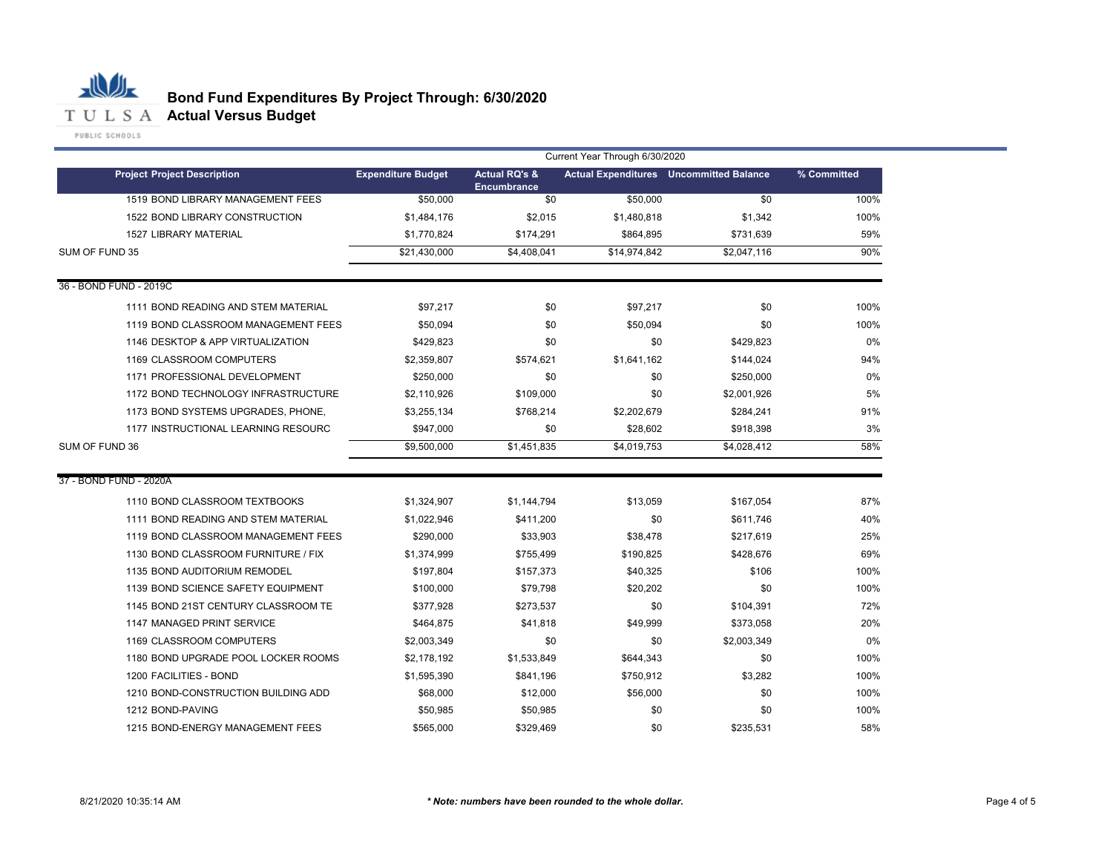

| PUBLIC SCHOOLS |  |  |  |  |
|----------------|--|--|--|--|
|                |  |  |  |  |
|                |  |  |  |  |

|                                     | Current Year Through 6/30/2020 |                                                |              |                                                |             |  |  |
|-------------------------------------|--------------------------------|------------------------------------------------|--------------|------------------------------------------------|-------------|--|--|
| <b>Project Project Description</b>  | <b>Expenditure Budget</b>      | <b>Actual RQ's &amp;</b><br><b>Encumbrance</b> |              | <b>Actual Expenditures</b> Uncommitted Balance | % Committed |  |  |
| 1519 BOND LIBRARY MANAGEMENT FEES   | \$50,000                       | \$0                                            | \$50,000     | \$0                                            | 100%        |  |  |
| 1522 BOND LIBRARY CONSTRUCTION      | \$1,484,176                    | \$2,015                                        | \$1,480,818  | \$1,342                                        | 100%        |  |  |
| <b>1527 LIBRARY MATERIAL</b>        | \$1,770,824                    | \$174,291                                      | \$864,895    | \$731,639                                      | 59%         |  |  |
| SUM OF FUND 35                      | \$21,430,000                   | \$4,408,041                                    | \$14,974,842 | \$2,047,116                                    | 90%         |  |  |
| 36 - BOND FUND - 2019C              |                                |                                                |              |                                                |             |  |  |
| 1111 BOND READING AND STEM MATERIAL | \$97,217                       | \$0                                            | \$97,217     | \$0                                            | 100%        |  |  |
| 1119 BOND CLASSROOM MANAGEMENT FEES | \$50,094                       | \$0                                            | \$50,094     | \$0                                            | 100%        |  |  |
| 1146 DESKTOP & APP VIRTUALIZATION   | \$429,823                      | \$0                                            | \$0          | \$429,823                                      | 0%          |  |  |
| 1169 CLASSROOM COMPUTERS            | \$2,359,807                    | \$574,621                                      | \$1,641,162  | \$144,024                                      | 94%         |  |  |
| 1171 PROFESSIONAL DEVELOPMENT       | \$250,000                      | \$0                                            | \$0          | \$250,000                                      | 0%          |  |  |
| 1172 BOND TECHNOLOGY INFRASTRUCTURE | \$2,110,926                    | \$109,000                                      | \$0          | \$2,001,926                                    | 5%          |  |  |
| 1173 BOND SYSTEMS UPGRADES, PHONE,  | \$3,255,134                    | \$768,214                                      | \$2,202,679  | \$284,241                                      | 91%         |  |  |
| 1177 INSTRUCTIONAL LEARNING RESOURC | \$947,000                      | \$0                                            | \$28,602     | \$918,398                                      | 3%          |  |  |
| SUM OF FUND 36                      | \$9,500,000                    | \$1,451,835                                    | \$4,019,753  | \$4,028,412                                    | 58%         |  |  |
| 37 - BOND FUND - 2020A              |                                |                                                |              |                                                |             |  |  |
| 1110 BOND CLASSROOM TEXTBOOKS       | \$1,324,907                    | \$1,144,794                                    | \$13,059     | \$167,054                                      | 87%         |  |  |
| 1111 BOND READING AND STEM MATERIAL | \$1,022,946                    | \$411,200                                      | \$0          | \$611,746                                      | 40%         |  |  |
| 1119 BOND CLASSROOM MANAGEMENT FEES | \$290,000                      | \$33,903                                       | \$38,478     | \$217,619                                      | 25%         |  |  |
| 1130 BOND CLASSROOM FURNITURE / FIX | \$1,374,999                    | \$755,499                                      | \$190,825    | \$428,676                                      | 69%         |  |  |
| 1135 BOND AUDITORIUM REMODEL        | \$197,804                      | \$157,373                                      | \$40,325     | \$106                                          | 100%        |  |  |
| 1139 BOND SCIENCE SAFETY EQUIPMENT  | \$100,000                      | \$79,798                                       | \$20,202     | \$0                                            | 100%        |  |  |
| 1145 BOND 21ST CENTURY CLASSROOM TE | \$377,928                      | \$273,537                                      | \$0          | \$104,391                                      | 72%         |  |  |
| 1147 MANAGED PRINT SERVICE          | \$464,875                      | \$41,818                                       | \$49,999     | \$373,058                                      | 20%         |  |  |
| 1169 CLASSROOM COMPUTERS            | \$2,003,349                    | \$0                                            | \$0          | \$2,003,349                                    | 0%          |  |  |
| 1180 BOND UPGRADE POOL LOCKER ROOMS | \$2,178,192                    | \$1,533,849                                    | \$644,343    | \$0                                            | 100%        |  |  |
| 1200 FACILITIES - BOND              | \$1,595,390                    | \$841,196                                      | \$750,912    | \$3,282                                        | 100%        |  |  |
| 1210 BOND-CONSTRUCTION BUILDING ADD | \$68,000                       | \$12,000                                       | \$56,000     | \$0                                            | 100%        |  |  |
| 1212 BOND-PAVING                    | \$50,985                       | \$50,985                                       | \$0          | \$0                                            | 100%        |  |  |
| 1215 BOND-ENERGY MANAGEMENT FEES    | \$565,000                      | \$329,469                                      | \$0          | \$235,531                                      | 58%         |  |  |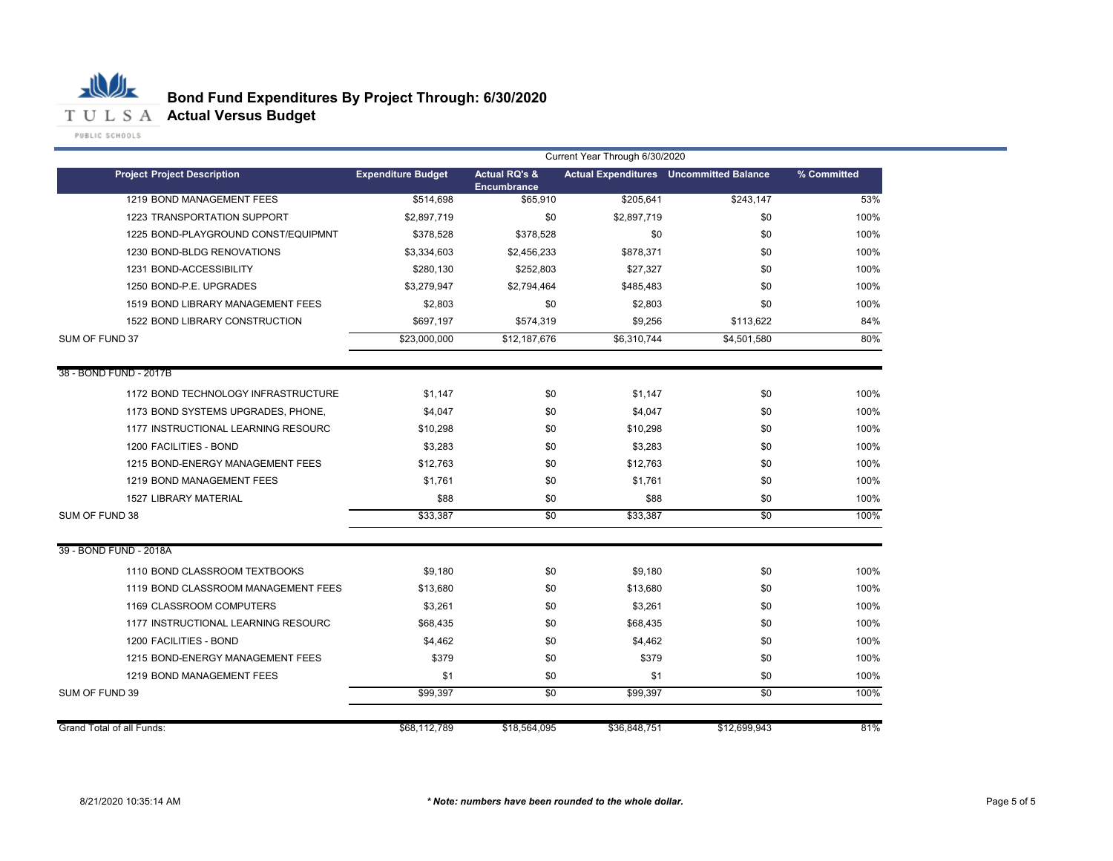

|                                     | Current Year Through 6/30/2020 |                                                |              |                                                |             |  |  |
|-------------------------------------|--------------------------------|------------------------------------------------|--------------|------------------------------------------------|-------------|--|--|
| <b>Project Project Description</b>  | <b>Expenditure Budget</b>      | <b>Actual RQ's &amp;</b><br><b>Encumbrance</b> |              | <b>Actual Expenditures</b> Uncommitted Balance | % Committed |  |  |
| 1219 BOND MANAGEMENT FEES           | \$514,698                      | \$65,910                                       | \$205,641    | \$243,147                                      | 53%         |  |  |
| 1223 TRANSPORTATION SUPPORT         | \$2,897,719                    | \$0                                            | \$2,897,719  | \$0                                            | 100%        |  |  |
| 1225 BOND-PLAYGROUND CONST/EQUIPMNT | \$378,528                      | \$378,528                                      | \$0          | \$0                                            | 100%        |  |  |
| 1230 BOND-BLDG RENOVATIONS          | \$3,334,603                    | \$2,456,233                                    | \$878,371    | \$0                                            | 100%        |  |  |
| 1231 BOND-ACCESSIBILITY             | \$280,130                      | \$252,803                                      | \$27,327     | \$0                                            | 100%        |  |  |
| 1250 BOND-P.E. UPGRADES             | \$3,279,947                    | \$2,794,464                                    | \$485,483    | \$0                                            | 100%        |  |  |
| 1519 BOND LIBRARY MANAGEMENT FEES   | \$2,803                        | \$0                                            | \$2,803      | \$0                                            | 100%        |  |  |
| 1522 BOND LIBRARY CONSTRUCTION      | \$697,197                      | \$574,319                                      | \$9,256      | \$113,622                                      | 84%         |  |  |
| SUM OF FUND 37                      | \$23,000,000                   | \$12,187,676                                   | \$6,310,744  | \$4.501.580                                    | 80%         |  |  |
| 38 - BOND FUND - 2017B              |                                |                                                |              |                                                |             |  |  |
| 1172 BOND TECHNOLOGY INFRASTRUCTURE | \$1.147                        | \$0                                            | \$1,147      | \$0                                            | 100%        |  |  |
| 1173 BOND SYSTEMS UPGRADES, PHONE,  | \$4,047                        | \$0                                            | \$4,047      | \$0                                            | 100%        |  |  |
| 1177 INSTRUCTIONAL LEARNING RESOURC | \$10,298                       | \$0                                            | \$10,298     | \$0                                            | 100%        |  |  |
| 1200 FACILITIES - BOND              | \$3,283                        | \$0                                            | \$3,283      | \$0                                            | 100%        |  |  |
| 1215 BOND-ENERGY MANAGEMENT FEES    | \$12,763                       | \$0                                            | \$12,763     | \$0                                            | 100%        |  |  |
| 1219 BOND MANAGEMENT FEES           | \$1,761                        | \$0                                            | \$1,761      | \$0                                            | 100%        |  |  |
| <b>1527 LIBRARY MATERIAL</b>        | \$88                           | \$0                                            | \$88         | \$0                                            | 100%        |  |  |
| SUM OF FUND 38                      | \$33,387                       | $\overline{50}$                                | \$33,387     | $\overline{50}$                                | 100%        |  |  |
| 39 - BOND FUND - 2018A              |                                |                                                |              |                                                |             |  |  |
| 1110 BOND CLASSROOM TEXTBOOKS       | \$9,180                        | \$0                                            | \$9,180      | \$0                                            | 100%        |  |  |
| 1119 BOND CLASSROOM MANAGEMENT FEES | \$13,680                       | \$0                                            | \$13,680     | \$0                                            | 100%        |  |  |
| 1169 CLASSROOM COMPUTERS            | \$3,261                        | \$0                                            | \$3,261      | \$0                                            | 100%        |  |  |
| 1177 INSTRUCTIONAL LEARNING RESOURC | \$68,435                       | \$0                                            | \$68,435     | \$0                                            | 100%        |  |  |
| 1200 FACILITIES - BOND              | \$4,462                        | \$0                                            | \$4,462      | \$0                                            | 100%        |  |  |
| 1215 BOND-ENERGY MANAGEMENT FEES    | \$379                          | \$0                                            | \$379        | \$0                                            | 100%        |  |  |
| 1219 BOND MANAGEMENT FEES           | \$1                            | \$0                                            | \$1          | \$0                                            | 100%        |  |  |
| SUM OF FUND 39                      | \$99,397                       | \$0                                            | \$99,397     | $\sqrt{50}$                                    | 100%        |  |  |
| <b>Grand Total of all Funds:</b>    | \$68,112,789                   | \$18,564,095                                   | \$36,848,751 | \$12,699,943                                   | 81%         |  |  |